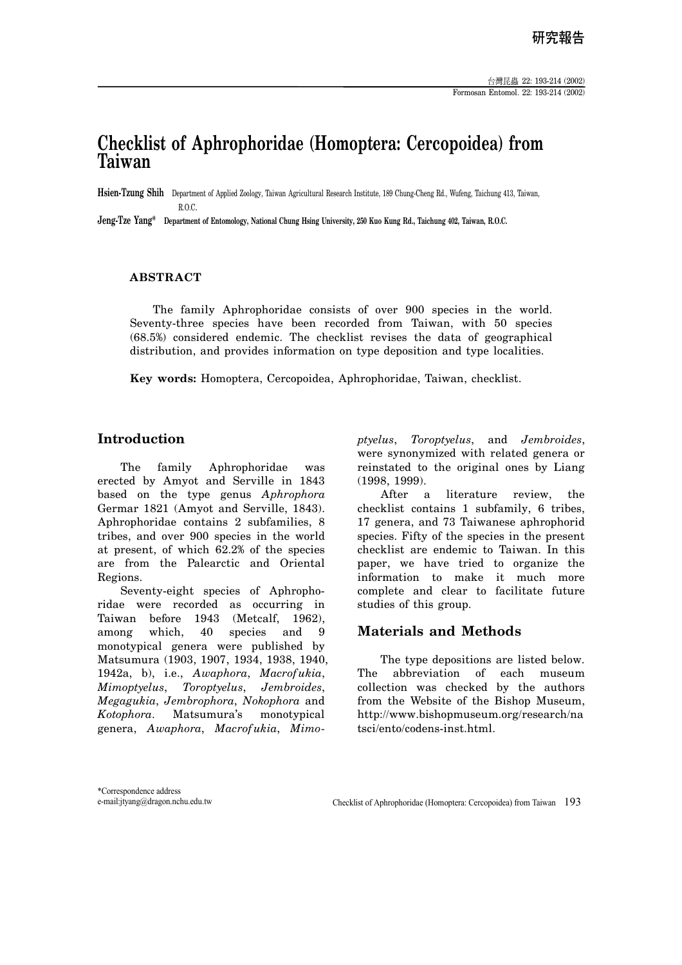# **Checklist of Aphrophoridae (Homoptera: Cercopoidea) from Taiwan**

**Hsien-Tzung Shih** Department of Applied Zoology, Taiwan Agricultural Research Institute, 189 Chung-Cheng Rd., Wufeng, Taichung 413, Taiwan, R.O.C.

**Jeng-Tze Yang\* Department of Entomology, National Chung Hsing University, 250 Kuo Kung Rd., Taichung 402, Taiwan, R.O.C.** 

## **ABSTRACT**

The family Aphrophoridae consists of over 900 species in the world. Seventy-three species have been recorded from Taiwan, with 50 species (68.5%) considered endemic. The checklist revises the data of geographical distribution, and provides information on type deposition and type localities.

**Key words:** Homoptera, Cercopoidea, Aphrophoridae, Taiwan, checklist.

# **Introduction**

The family Aphrophoridae was erected by Amyot and Serville in 1843 based on the type genus *Aphrophora* Germar 1821 (Amyot and Serville, 1843). Aphrophoridae contains 2 subfamilies, 8 tribes, and over 900 species in the world at present, of which 62.2% of the species are from the Palearctic and Oriental Regions.

Seventy-eight species of Aphrophoridae were recorded as occurring in Taiwan before 1943 (Metcalf, 1962), among which, 40 species and 9 monotypical genera were published by Matsumura (1903, 1907, 1934, 1938, 1940, 1942a, b), i.e., *Awaphora*, *Macrofukia*, *Mimoptyelus*, *Toroptyelus*, *Jembroides*, *Megagukia*, *Jembrophora*, *Nokophora* and *Kotophora*. Matsumura's monotypical genera, *Awaphora*, *Macrofukia*, *Mimo-* *ptyelus*, *Toroptyelus*, and *Jembroides*, were synonymized with related genera or reinstated to the original ones by Liang (1998, 1999).

After a literature review, the checklist contains 1 subfamily, 6 tribes, 17 genera, and 73 Taiwanese aphrophorid species. Fifty of the species in the present checklist are endemic to Taiwan. In this paper, we have tried to organize the information to make it much more complete and clear to facilitate future studies of this group.

#### **Materials and Methods**

The type depositions are listed below. The abbreviation of each museum collection was checked by the authors from the Website of the Bishop Museum, http://www.bishopmuseum.org/research/na tsci/ento/codens-inst.html.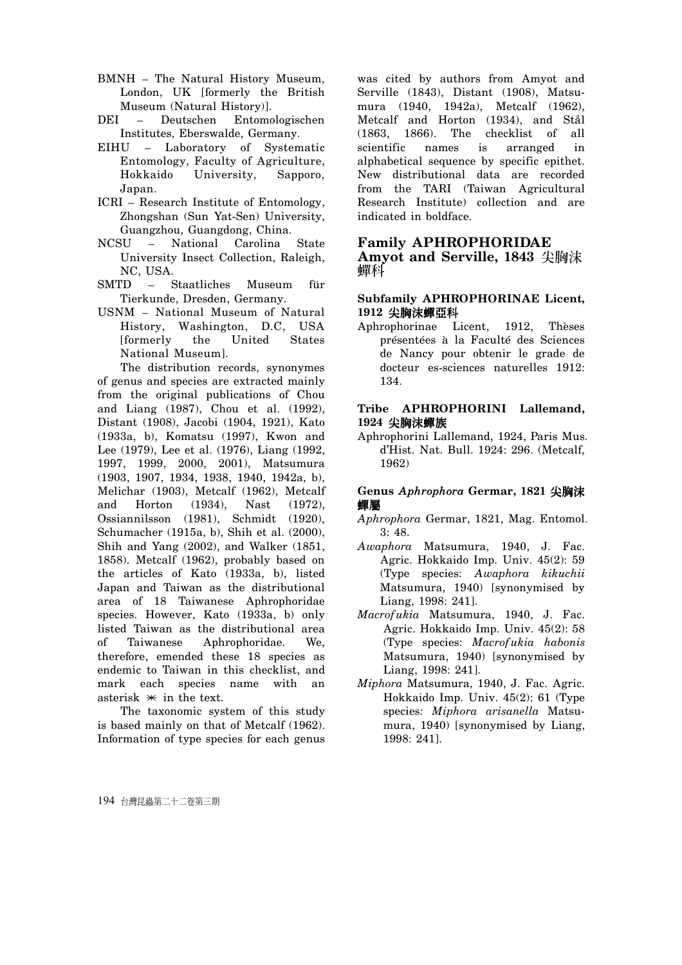- BMNH The Natural History Museum, London, UK [formerly the British Museum (Natural History)].
- DEI Deutschen Entomologischen Institutes, Eberswalde, Germany.
- EIHU Laboratory of Systematic Entomology, Faculty of Agriculture, Hokkaido University, Sapporo, Japan.
- ICRI Research Institute of Entomology, Zhongshan (Sun Yat-Sen) University, Guangzhou, Guangdong, China.
- NCSU National Carolina State University Insect Collection, Raleigh, NC, USA.
- SMTD Staatliches Museum für Tierkunde, Dresden, Germany.
- USNM National Museum of Natural History, Washington, D.C, USA [formerly the United States National Museum].

The distribution records, synonymes of genus and species are extracted mainly from the original publications of Chou and Liang (1987), Chou et al. (1992), Distant (1908), Jacobi (1904, 1921), Kato (1933a, b), Komatsu (1997), Kwon and Lee (1979), Lee et al. (1976), Liang (1992, 1997, 1999, 2000, 2001), Matsumura (1903, 1907, 1934, 1938, 1940, 1942a, b), Melichar (1903), Metcalf (1962), Metcalf and Horton (1934), Nast (1972), Ossiannilsson (1981), Schmidt (1920), Schumacher (1915a, b), Shih et al. (2000), Shih and Yang (2002), and Walker (1851, 1858). Metcalf (1962), probably based on the articles of Kato (1933a, b), listed Japan and Taiwan as the distributional area of 18 Taiwanese Aphrophoridae species. However, Kato (1933a, b) only listed Taiwan as the distributional area of Taiwanese Aphrophoridae. We, therefore, emended these 18 species as endemic to Taiwan in this checklist, and mark each species name with an asterisk  $*$  in the text.

The taxonomic system of this study is based mainly on that of Metcalf (1962). Information of type species for each genus was cited by authors from Amyot and Serville (1843), Distant (1908), Matsumura (1940, 1942a), Metcalf (1962), Metcalf and Horton (1934), and Stål (1863, 1866). The checklist of all scientific names is arranged in alphabetical sequence by specific epithet. New distributional data are recorded from the TARI (Taiwan Agricultural Research Institute) collection and are indicated in boldface.

#### **Family APHROPHORIDAE**

Amyot and Serville, 1843 尖胸沫 幝科

#### **Subfamily APHROPHORINAE Licent,**  1912 尖胸沫蟬亞科

Aphrophorinae Licent, 1912, Thèses présentées à la Faculté des Sciences de Nancy pour obtenir le grade de docteur es-sciences naturelles 1912: 134.

#### **Tribe APHROPHORINI Lallemand,**  1924 尖胸沫蟬族

Aphrophorini Lallemand, 1924, Paris Mus. d'Hist. Nat. Bull. 1924: 296. (Metcalf, 1962)

## **Genus Aphrophora Germar, 1821 尖胸沫** 蟬屬

- *Aphrophora* Germar, 1821, Mag. Entomol. 3: 48.
- *Awaphora* Matsumura, 1940, J. Fac. Agric. Hokkaido Imp. Univ. 45(2): 59 (Type species: *Awaphora kikuchii*  Matsumura, 1940) [synonymised by Liang, 1998: 241].
- *Macrofukia* Matsumura, 1940, J. Fac. Agric. Hokkaido Imp. Univ. 45(2): 58 (Type species: *Macrofukia habonis*  Matsumura, 1940) [synonymised by Liang, 1998: 241].
- *Miphora* Matsumura, 1940, J. Fac. Agric. Hokkaido Imp. Univ. 45(2): 61 (Type species: *Miphora arisanella* Matsumura, 1940) [synonymised by Liang, 1998: 241].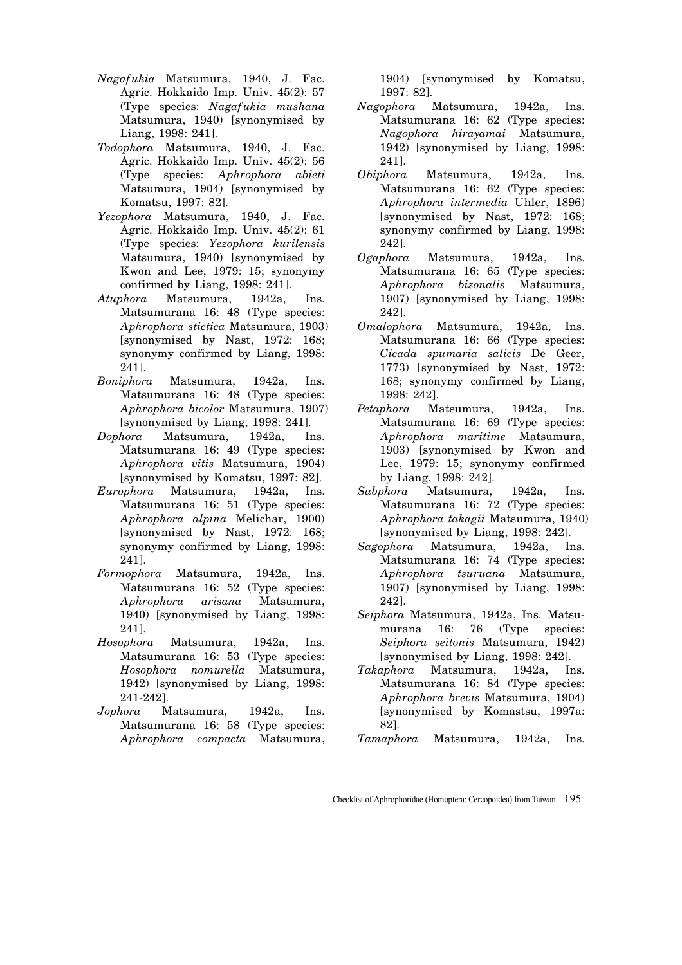- *Nagafukia* Matsumura, 1940, J. Fac. Agric. Hokkaido Imp. Univ. 45(2): 57 (Type species: *Nagafukia mushana*  Matsumura, 1940) [synonymised by Liang, 1998: 241].
- *Todophora* Matsumura, 1940, J. Fac. Agric. Hokkaido Imp. Univ. 45(2): 56 (Type species: *Aphrophora abieti*  Matsumura, 1904) [synonymised by Komatsu, 1997: 82].
- *Yezophora* Matsumura, 1940, J. Fac. Agric. Hokkaido Imp. Univ. 45(2): 61 (Type species: *Yezophora kurilensis*  Matsumura, 1940) [synonymised by Kwon and Lee, 1979: 15; synonymy confirmed by Liang, 1998: 241].
- *Atuphora* Matsumura, 1942a, Ins. Matsumurana 16: 48 (Type species: *Aphrophora stictica* Matsumura, 1903) [synonymised by Nast, 1972: 168; synonymy confirmed by Liang, 1998: 241].
- *Boniphora* Matsumura, 1942a, Ins. Matsumurana 16: 48 (Type species: *Aphrophora bicolor* Matsumura, 1907) [synonymised by Liang, 1998: 241].
- *Dophora* Matsumura, 1942a, Ins. Matsumurana 16: 49 (Type species: *Aphrophora vitis* Matsumura, 1904) [synonymised by Komatsu, 1997: 82].
- *Europhora* Matsumura, 1942a, Ins. Matsumurana 16: 51 (Type species: *Aphrophora alpina* Melichar, 1900) [synonymised by Nast, 1972: 168; synonymy confirmed by Liang, 1998: 241].
- *Formophora* Matsumura, 1942a, Ins. Matsumurana 16: 52 (Type species: *Aphrophora arisana* Matsumura, 1940) [synonymised by Liang, 1998: 241].
- *Hosophora* Matsumura, 1942a, Ins. Matsumurana 16: 53 (Type species: *Hosophora nomurella* Matsumura, 1942) [synonymised by Liang, 1998: 241-242].
- *Jophora* Matsumura, 1942a, Ins. Matsumurana 16: 58 (Type species: *Aphrophora compacta* Matsumura,

1904) [synonymised by Komatsu, 1997: 82].

- *Nagophora* Matsumura, 1942a, Ins. Matsumurana 16: 62 (Type species: *Nagophora hirayamai* Matsumura, 1942) [synonymised by Liang, 1998: 241].
- *Obiphora* Matsumura, 1942a, Ins. Matsumurana 16: 62 (Type species: *Aphrophora intermedia* Uhler, 1896) [synonymised by Nast, 1972: 168; synonymy confirmed by Liang, 1998: 242].
- *Ogaphora* Matsumura, 1942a, Ins. Matsumurana 16: 65 (Type species: *Aphrophora bizonalis* Matsumura, 1907) [synonymised by Liang, 1998: 242].
- *Omalophora* Matsumura, 1942a, Ins. Matsumurana 16: 66 (Type species: *Cicada spumaria salicis* De Geer, 1773) [synonymised by Nast, 1972: 168; synonymy confirmed by Liang, 1998: 242].
- *Petaphora* Matsumura, 1942a, Ins. Matsumurana 16: 69 (Type species: *Aphrophora maritime* Matsumura, 1903) [synonymised by Kwon and Lee, 1979: 15; synonymy confirmed by Liang, 1998: 242].
- *Sabphora* Matsumura, 1942a, Ins. Matsumurana 16: 72 (Type species: *Aphrophora takagii* Matsumura, 1940) [synonymised by Liang, 1998: 242].
- *Sagophora* Matsumura, 1942a, Ins. Matsumurana 16: 74 (Type species: *Aphrophora tsuruana* Matsumura, 1907) [synonymised by Liang, 1998: 242].
- *Seiphora* Matsumura, 1942a, Ins. Matsumurana 16: 76 (Type species: *Seiphora seitonis* Matsumura, 1942) [synonymised by Liang, 1998: 242].
- *Takaphora* Matsumura, 1942a, Ins. Matsumurana 16: 84 (Type species: *Aphrophora brevis* Matsumura, 1904) [synonymised by Komastsu, 1997a: 82].
- *Tamaphora* Matsumura, 1942a, Ins.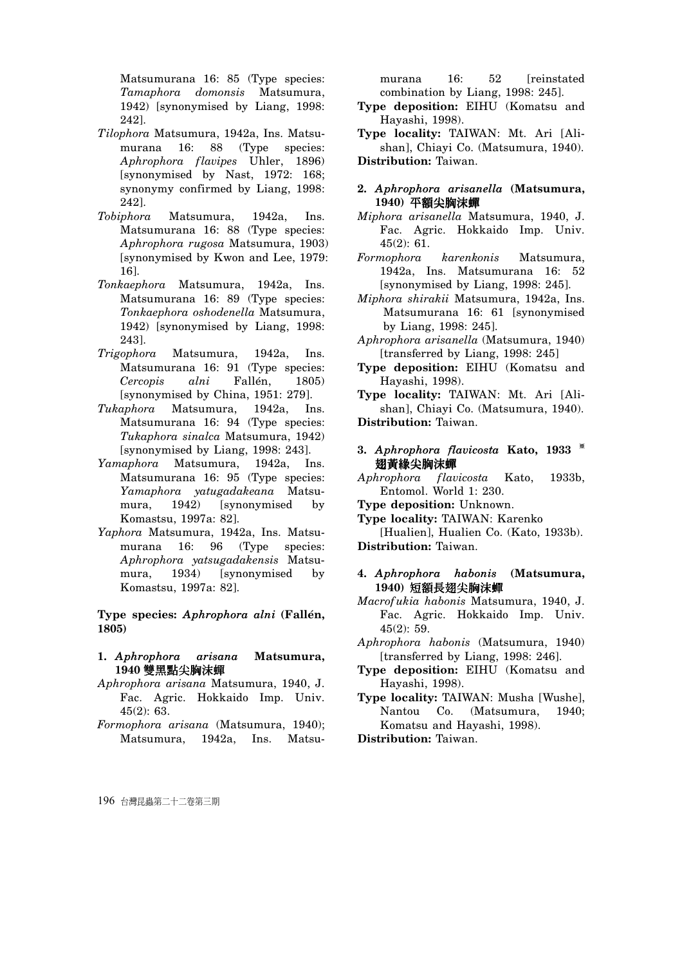Matsumurana 16: 85 (Type species: *Tamaphora domonsis* Matsumura, 1942) [synonymised by Liang, 1998: 242].

- *Tilophora* Matsumura, 1942a, Ins. Matsumurana 16: 88 (Type species: *Aphrophora flavipes* Uhler, 1896) [synonymised by Nast, 1972: 168; synonymy confirmed by Liang, 1998: 242].
- *Tobiphora* Matsumura, 1942a, Ins. Matsumurana 16: 88 (Type species: *Aphrophora rugosa* Matsumura, 1903) [synonymised by Kwon and Lee, 1979: 16].
- *Tonkaephora* Matsumura, 1942a, Ins. Matsumurana 16: 89 (Type species: *Tonkaephora oshodenella* Matsumura, 1942) [synonymised by Liang, 1998: 243].
- *Trigophora* Matsumura, 1942a, Ins. Matsumurana 16: 91 (Type species: *Cercopis alni* Fallén, 1805) [synonymised by China, 1951: 279].
- *Tukaphora* Matsumura, 1942a, Ins. Matsumurana 16: 94 (Type species: *Tukaphora sinalca* Matsumura, 1942) [synonymised by Liang, 1998: 243].
- *Yamaphora* Matsumura, 1942a, Ins. Matsumurana 16: 95 (Type species: *Yamaphora yatugadakeana* Matsumura, 1942) [synonymised by Komastsu, 1997a: 82].
- *Yaphora* Matsumura, 1942a, Ins. Matsumurana 16: 96 (Type species: *Aphrophora yatsugadakensis* Matsumura, 1934) [synonymised by Komastsu, 1997a: 82].

**Type species:** *Aphrophora alni* **(Fallén, 1805)** 

- **1.** *Aphrophora arisana* **Matsumura,**  1940 雙黑點尖胸沫蟬
- *Aphrophora arisana* Matsumura, 1940, J. Fac. Agric. Hokkaido Imp. Univ. 45(2): 63.
- *Formophora arisana* (Matsumura, 1940); Matsumura, 1942a, Ins. Matsu-

murana 16: 52 [reinstated] combination by Liang, 1998: 245].

- **Type deposition:** EIHU (Komatsu and Hayashi, 1998).
- **Type locality:** TAIWAN: Mt. Ari [Alishan], Chiayi Co. (Matsumura, 1940). **Distribution:** Taiwan.
- **2.** *Aphrophora arisanella* **(Matsumura,**  1940) 平額尖胸沫蟬
- *Miphora arisanella* Matsumura, 1940, J. Fac. Agric. Hokkaido Imp. Univ. 45(2): 61.
- *Formophora karenkonis* Matsumura, 1942a, Ins. Matsumurana 16: 52 [synonymised by Liang, 1998: 245].
- *Miphora shirakii* Matsumura, 1942a, Ins. Matsumurana 16: 61 [synonymised by Liang, 1998: 245].
- *Aphrophora arisanella* (Matsumura, 1940) [transferred by Liang, 1998: 245]
- **Type deposition:** EIHU (Komatsu and Hayashi, 1998).

**Type locality:** TAIWAN: Mt. Ari [Alishan], Chiayi Co. (Matsumura, 1940). **Distribution:** Taiwan.

- **3.** *Aphrophora flavicosta* **Kato**, 1933 \* 翅黃緣尖胸沫蟬
- *Aphrophora flavicosta* Kato, 1933b, Entomol. World 1: 230.
- **Type deposition:** Unknown.
- **Type locality:** TAIWAN: Karenko

[Hualien], Hualien Co. (Kato, 1933b). **Distribution:** Taiwan.

## **4.** *Aphrophora habonis* **(Matsumura,**  1940) 短額長翅尖胸沫蟬

- *Macrofukia habonis* Matsumura, 1940, J. Fac. Agric. Hokkaido Imp. Univ. 45(2): 59.
- *Aphrophora habonis* (Matsumura, 1940) [transferred by Liang, 1998: 246].
- **Type deposition:** EIHU (Komatsu and Hayashi, 1998).
- **Type locality:** TAIWAN: Musha [Wushe], Nantou Co. (Matsumura, 1940; Komatsu and Hayashi, 1998).
- **Distribution:** Taiwan.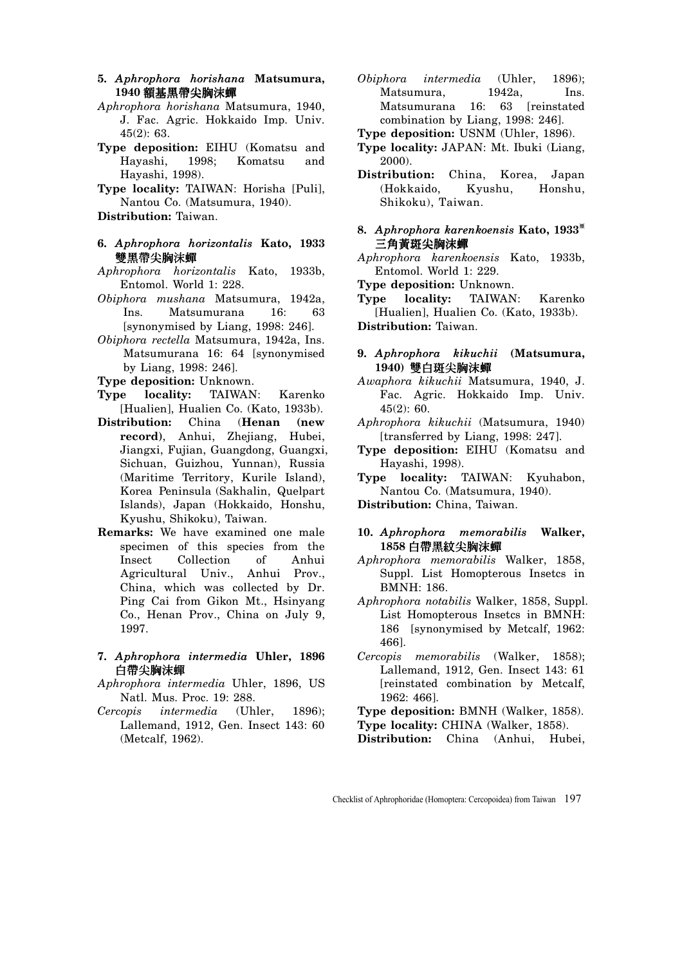- **5.** *Aphrophora horishana* **Matsumura,**  1940 額基黑帶尖胸沫蟬
- *Aphrophora horishana* Matsumura, 1940, J. Fac. Agric. Hokkaido Imp. Univ. 45(2): 63.
- **Type deposition:** EIHU (Komatsu and Hayashi, 1998; Komatsu and Hayashi, 1998).
- **Type locality:** TAIWAN: Horisha [Puli], Nantou Co. (Matsumura, 1940).

**Distribution:** Taiwan.

- **6.** *Aphrophora horizontalis* **Kato, 1933** 雙黑帶尖胸沫蟬
- *Aphrophora horizontalis* Kato, 1933b, Entomol. World 1: 228.
- *Obiphora mushana* Matsumura, 1942a, Ins. Matsumurana 16: 63 [synonymised by Liang, 1998: 246].
- *Obiphora rectella* Matsumura, 1942a, Ins. Matsumurana 16: 64 [synonymised by Liang, 1998: 246].
- **Type deposition:** Unknown.
- **Type locality:** TAIWAN: Karenko [Hualien], Hualien Co. (Kato, 1933b).
- **Distribution:** China (**Henan (new record)**, Anhui, Zhejiang, Hubei, Jiangxi, Fujian, Guangdong, Guangxi, Sichuan, Guizhou, Yunnan), Russia (Maritime Territory, Kurile Island), Korea Peninsula (Sakhalin, Quelpart Islands), Japan (Hokkaido, Honshu, Kyushu, Shikoku), Taiwan.
- **Remarks:** We have examined one male specimen of this species from the Insect Collection of Anhui Agricultural Univ., Anhui Prov., China, which was collected by Dr. Ping Cai from Gikon Mt., Hsinyang Co., Henan Prov., China on July 9, 1997.
- **7.** *Aphrophora intermedia* **Uhler, 1896**  白帶尖胸沫蟬
- *Aphrophora intermedia* Uhler, 1896, US Natl. Mus. Proc. 19: 288.
- *Cercopis intermedia* (Uhler, 1896); Lallemand, 1912, Gen. Insect 143: 60 (Metcalf, 1962).
- *Obiphora intermedia* (Uhler, 1896); Matsumura, 1942a, Ins. Matsumurana 16: 63 [reinstated combination by Liang, 1998: 246].
- **Type deposition:** USNM (Uhler, 1896).
- **Type locality:** JAPAN: Mt. Ibuki (Liang, 2000).
- **Distribution:** China, Korea, Japan (Hokkaido, Kyushu, Honshu, Shikoku), Taiwan.
- **8.** *Aphrophora karenkoensis* **Kato, 1933**<sup>ŏ</sup> 三角黃斑尖胸沫蟬
- *Aphrophora karenkoensis* Kato, 1933b, Entomol. World 1: 229.
- **Type deposition:** Unknown.
- **Type locality:** TAIWAN: Karenko [Hualien], Hualien Co. (Kato, 1933b). **Distribution:** Taiwan.
- **9.** *Aphrophora kikuchii* **(Matsumura,**  1940) 雙白斑尖胸沫蟬
- *Awaphora kikuchii* Matsumura, 1940, J. Fac. Agric. Hokkaido Imp. Univ. 45(2): 60.
- *Aphrophora kikuchii* (Matsumura, 1940) [transferred by Liang, 1998: 247].
- **Type deposition:** EIHU (Komatsu and Hayashi, 1998).
- **Type locality:** TAIWAN: Kyuhabon, Nantou Co. (Matsumura, 1940).

**Distribution:** China, Taiwan.

- **10.** *Aphrophora memorabilis* **Walker,**  1858 白帶黑紋尖胸沫蟬
- *Aphrophora memorabilis* Walker, 1858, Suppl. List Homopterous Insetcs in BMNH: 186.
- *Aphrophora notabilis* Walker, 1858, Suppl. List Homopterous Insetcs in BMNH: 186 [synonymised by Metcalf, 1962: 466].
- *Cercopis memorabilis* (Walker, 1858); Lallemand, 1912, Gen. Insect 143: 61 [reinstated combination by Metcalf, 1962: 466].

**Type deposition:** BMNH (Walker, 1858). **Type locality:** CHINA (Walker, 1858).

**Distribution:** China (Anhui, Hubei,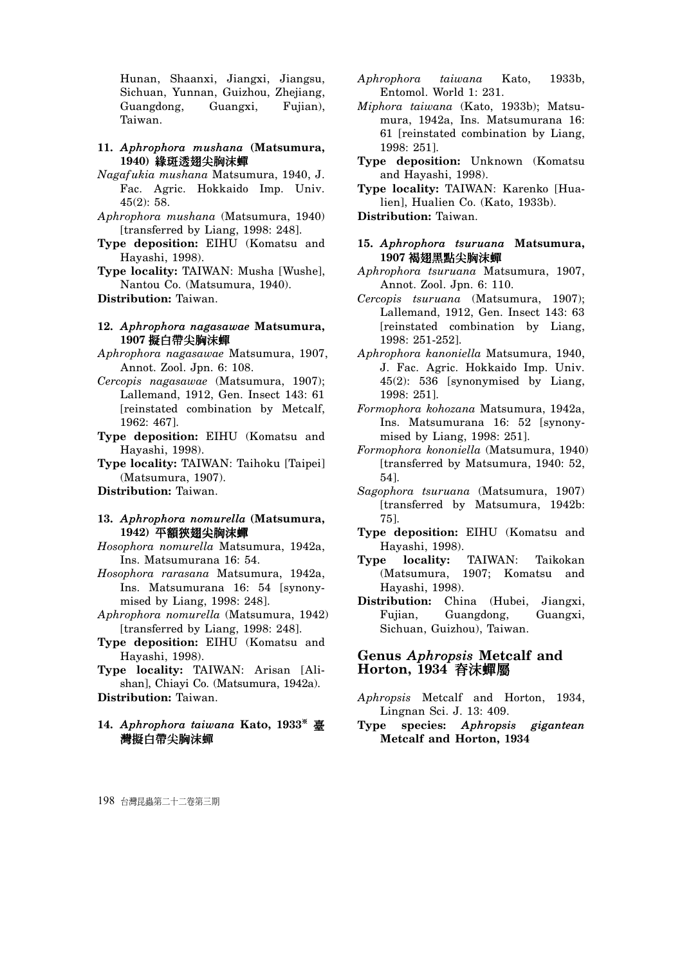Hunan, Shaanxi, Jiangxi, Jiangsu, Sichuan, Yunnan, Guizhou, Zhejiang, Guangdong, Guangxi, Fujian), Taiwan.

- **11.** *Aphrophora mushana* **(Matsumura,**  1940) 緣斑透翅尖胸沫蟬
- *Nagafukia mushana* Matsumura, 1940, J. Fac. Agric. Hokkaido Imp. Univ. 45(2): 58.
- *Aphrophora mushana* (Matsumura, 1940) [transferred by Liang, 1998: 248].
- **Type deposition:** EIHU (Komatsu and Hayashi, 1998).

**Type locality:** TAIWAN: Musha [Wushe], Nantou Co. (Matsumura, 1940).

**Distribution:** Taiwan.

#### **12.** *Aphrophora nagasawae* **Matsumura,**  1907 擬白帶尖胸沫蟬

- *Aphrophora nagasawae* Matsumura, 1907, Annot. Zool. Jpn. 6: 108.
- *Cercopis nagasawae* (Matsumura, 1907); Lallemand, 1912, Gen. Insect 143: 61 [reinstated combination by Metcalf, 1962: 467].
- **Type deposition:** EIHU (Komatsu and Hayashi, 1998).

**Type locality:** TAIWAN: Taihoku [Taipei] (Matsumura, 1907).

**Distribution:** Taiwan.

## **13.** *Aphrophora nomurella* **(Matsumura,**  1942) 平額狹翅尖胸沫蟬

- *Hosophora nomurella* Matsumura, 1942a, Ins. Matsumurana 16: 54.
- *Hosophora rarasana* Matsumura, 1942a, Ins. Matsumurana 16: 54 [synonymised by Liang, 1998: 248].
- *Aphrophora nomurella* (Matsumura, 1942) [transferred by Liang, 1998: 248].
- **Type deposition:** EIHU (Komatsu and Hayashi, 1998).
- **Type locality:** TAIWAN: Arisan [Alishan], Chiayi Co. (Matsumura, 1942a).

**Distribution:** Taiwan.

14. Aphrophora taiwana Kato, 1933<sup>\*</sup> 臺 灣擬白帶尖胸沫蟬

- *Aphrophora taiwana* Kato, 1933b, Entomol. World 1: 231.
- *Miphora taiwana* (Kato, 1933b); Matsumura, 1942a, Ins. Matsumurana 16: 61 [reinstated combination by Liang, 1998: 251].
- **Type deposition:** Unknown (Komatsu and Hayashi, 1998).
- **Type locality:** TAIWAN: Karenko [Hualien], Hualien Co. (Kato, 1933b).

**Distribution:** Taiwan.

- **15.** *Aphrophora tsuruana* **Matsumura,**  1907 褐翅黑點尖胸沫蟬
- *Aphrophora tsuruana* Matsumura, 1907, Annot. Zool. Jpn. 6: 110.
- *Cercopis tsuruana* (Matsumura, 1907); Lallemand, 1912, Gen. Insect 143: 63 [reinstated combination by Liang, 1998: 251-252].
- *Aphrophora kanoniella* Matsumura, 1940, J. Fac. Agric. Hokkaido Imp. Univ. 45(2): 536 [synonymised by Liang, 1998: 251].
- *Formophora kohozana* Matsumura, 1942a, Ins. Matsumurana 16: 52 [synonymised by Liang, 1998: 251].
- *Formophora kononiella* (Matsumura, 1940) [transferred by Matsumura, 1940: 52, 54].
- *Sagophora tsuruana* (Matsumura, 1907) [transferred by Matsumura, 1942b: 75].
- **Type deposition:** EIHU (Komatsu and Hayashi, 1998).
- **Type locality:** TAIWAN: Taikokan (Matsumura, 1907; Komatsu and Hayashi, 1998).
- **Distribution:** China (Hubei, Jiangxi, Fujian, Guangdong, Guangxi, Sichuan, Guizhou), Taiwan.

## **Genus** *Aphropsis* **Metcalf and Horton, 1934 脊沫蟬屬**

- *Aphropsis* Metcalf and Horton, 1934, Lingnan Sci. J. 13: 409.
- **Type species:** *Aphropsis gigantean* **Metcalf and Horton, 1934**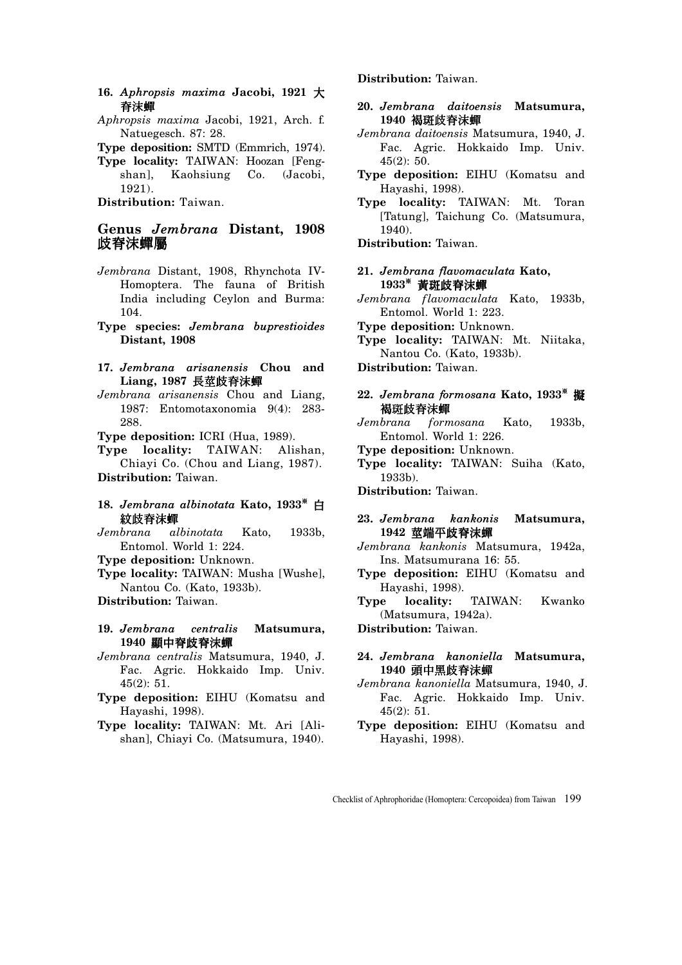- **16.** *Aphropsis maxima* **Jacobi, 1921** ̂ 脊沫蟬
- *Aphropsis maxima* Jacobi, 1921, Arch. f. Natuegesch. 87: 28.

**Type deposition:** SMTD (Emmrich, 1974).

**Type locality:** TAIWAN: Hoozan [Fengshan], Kaohsiung Co. (Jacobi, 1921).

**Distribution:** Taiwan.

# **Genus** *Jembrana* **Distant, 1908**  歧脊沫蟬屬

- *Jembrana* Distant, 1908, Rhynchota IV-Homoptera. The fauna of British India including Ceylon and Burma: 104.
- **Type species:** *Jembrana buprestioides*  **Distant, 1908**
- **17.** *Jembrana arisanensis* **Chou and**  Liang, 1987 長莖歧脊沫蟬
- *Jembrana arisanensis* Chou and Liang, 1987: Entomotaxonomia 9(4): 283- 288.
- **Type deposition:** ICRI (Hua, 1989).

**Type locality:** TAIWAN: Alishan, Chiayi Co. (Chou and Liang, 1987). **Distribution:** Taiwan.

- 18. *Jembrana albinotata* Kato, 1933<sup>\*</sup> 白 紋歧脊沫蟬
- *Jembrana albinotata* Kato, 1933b, Entomol. World 1: 224.
- **Type deposition:** Unknown.
- **Type locality:** TAIWAN: Musha [Wushe], Nantou Co. (Kato, 1933b).

**Distribution:** Taiwan.

- **19.** *Jembrana centralis* **Matsumura,**  1940 顯中脊歧脊沫蟬
- *Jembrana centralis* Matsumura, 1940, J. Fac. Agric. Hokkaido Imp. Univ. 45(2): 51.
- **Type deposition:** EIHU (Komatsu and Hayashi, 1998).
- **Type locality:** TAIWAN: Mt. Ari [Alishan], Chiayi Co. (Matsumura, 1940).

## **Distribution:** Taiwan.

- **20.** *Jembrana daitoensis* **Matsumura,**  1940 褐斑歧脊沫蟬
- *Jembrana daitoensis* Matsumura, 1940, J. Fac. Agric. Hokkaido Imp. Univ. 45(2): 50.
- **Type deposition:** EIHU (Komatsu and Hayashi, 1998).
- **Type locality:** TAIWAN: Mt. Toran [Tatung], Taichung Co. (Matsumura, 1940).

**Distribution:** Taiwan.

- **21.** *Jembrana flavomaculata* **Kato,**  1933<sup>\*</sup> 黃斑歧脊沫蟬
- *Jembrana flavomaculata* Kato, 1933b, Entomol. World 1: 223.
- **Type deposition:** Unknown.
- **Type locality:** TAIWAN: Mt. Niitaka, Nantou Co. (Kato, 1933b).
- **Distribution:** Taiwan.

## 22. *Jembrana formosana* Kato, 1933<sup>*\**</sup> 擬 褐斑歧脊沫蟬

- *Jembrana formosana* Kato, 1933b, Entomol. World 1: 226.
- **Type deposition:** Unknown.
- **Type locality:** TAIWAN: Suiha (Kato, 1933b).
- **Distribution:** Taiwan.

## **23.** *Jembrana kankonis* **Matsumura,**  1942 莖端平歧脊沫蟬

- *Jembrana kankonis* Matsumura, 1942a, Ins. Matsumurana 16: 55.
- **Type deposition:** EIHU (Komatsu and Hayashi, 1998).
- **Type locality:** TAIWAN: Kwanko (Matsumura, 1942a).

**Distribution:** Taiwan.

- **24.** *Jembrana kanoniella* **Matsumura,**  1940 頭中黑歧脊沫蟬
- *Jembrana kanoniella* Matsumura, 1940, J. Fac. Agric. Hokkaido Imp. Univ. 45(2): 51.
- **Type deposition:** EIHU (Komatsu and Hayashi, 1998).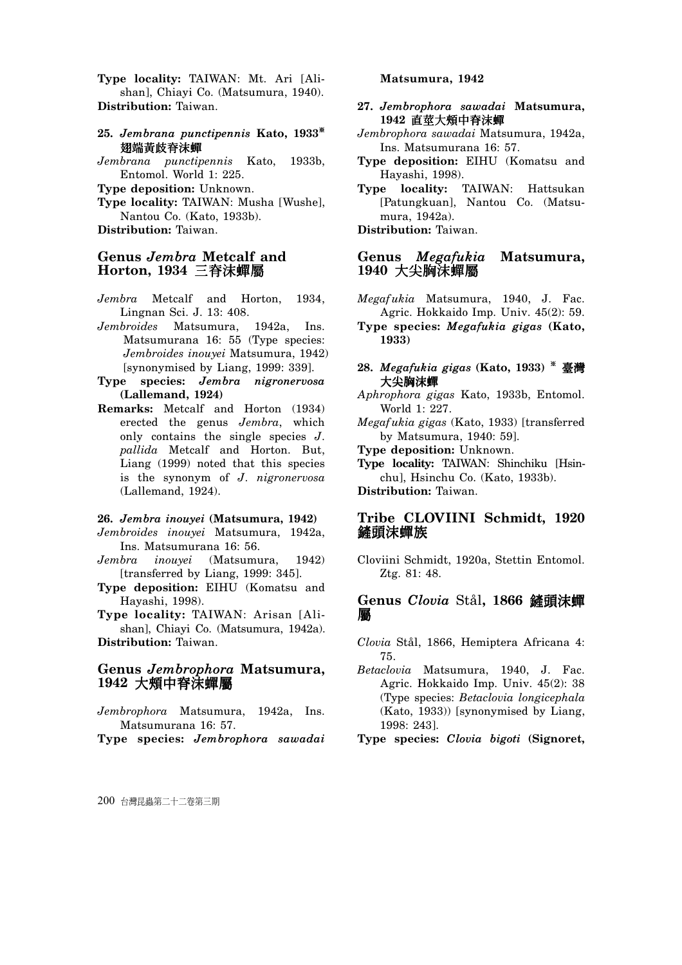**Type locality:** TAIWAN: Mt. Ari [Alishan], Chiayi Co. (Matsumura, 1940). **Distribution:** Taiwan.

- 25. *Jembrana punctipennis* Kato, 1933<sup>\*</sup> 翅端黄歧脊沫蟬
- *Jembrana punctipennis* Kato, 1933b, Entomol. World 1: 225.
- **Type deposition:** Unknown.
- **Type locality:** TAIWAN: Musha [Wushe], Nantou Co. (Kato, 1933b).

**Distribution:** Taiwan.

## **Genus** *Jembra* **Metcalf and Horton, 1934 三脊沫蟬屬**

- *Jembra* Metcalf and Horton, 1934, Lingnan Sci. J. 13: 408.
- *Jembroides* Matsumura, 1942a, Ins. Matsumurana 16: 55 (Type species: *Jembroides inouyei* Matsumura, 1942) [synonymised by Liang, 1999: 339].
- **Type species:** *Jembra nigronervosa* **(Lallemand, 1924)**
- **Remarks:** Metcalf and Horton (1934) erected the genus *Jembra*, which only contains the single species *J. pallida* Metcalf and Horton. But, Liang (1999) noted that this species is the synonym of *J. nigronervosa* (Lallemand, 1924).

#### **26.** *Jembra inouyei* **(Matsumura, 1942)**

*Jembroides inouyei* Matsumura, 1942a, Ins. Matsumurana 16: 56.

- *Jembra inouyei* (Matsumura, 1942) [transferred by Liang, 1999: 345].
- **Type deposition:** EIHU (Komatsu and Hayashi, 1998).
- **Type locality:** TAIWAN: Arisan [Alishan], Chiayi Co. (Matsumura, 1942a). **Distribution:** Taiwan.

# **Genus** *Jembrophora* **Matsumura,**  1942 大頰中脊沫蟬屬

*Jembrophora* Matsumura, 1942a, Ins. Matsumurana 16: 57.

**Type species:** *Jembrophora sawadai* 

#### **Matsumura, 1942**

- **27.** *Jembrophora sawadai* **Matsumura,**  1942 直莖大頰中脊沫蟬
- *Jembrophora sawadai* Matsumura, 1942a, Ins. Matsumurana 16: 57.
- **Type deposition:** EIHU (Komatsu and Hayashi, 1998).
- **Type locality:** TAIWAN: Hattsukan [Patungkuan], Nantou Co. (Matsumura, 1942a).

**Distribution:** Taiwan.

## **Genus** *Megafukia* **Matsumura,**  1940 大尖胸沫蟬屬

*Megafukia* Matsumura, 1940, J. Fac. Agric. Hokkaido Imp. Univ. 45(2): 59.

**Type species:** *Megafukia gigas* **(Kato, 1933)** 

- **28.** *Megafukia gigas* (Kato, 1933)  $*$  臺灣 大尖胸沫蟬
- *Aphrophora gigas* Kato, 1933b, Entomol. World 1: 227.
- *Megafukia gigas* (Kato, 1933) [transferred by Matsumura, 1940: 59].

**Type deposition:** Unknown.

**Type locality:** TAIWAN: Shinchiku [Hsinchu], Hsinchu Co. (Kato, 1933b). **Distribution:** Taiwan.

# **Tribe CLOVIINI Schmidt, 1920**  鏟頭浨蟬族

Cloviini Schmidt, 1920a, Stettin Entomol. Ztg. 81: 48.

# **Genus Clovia Stål, 1866 鏟頭沫蟬** 屬

- *Clovia* Stål, 1866, Hemiptera Africana 4: 75.
- *Betaclovia* Matsumura, 1940, J. Fac. Agric. Hokkaido Imp. Univ. 45(2): 38 (Type species: *Betaclovia longicephala*  (Kato, 1933)) [synonymised by Liang, 1998: 243].

**Type species:** *Clovia bigoti* **(Signoret,**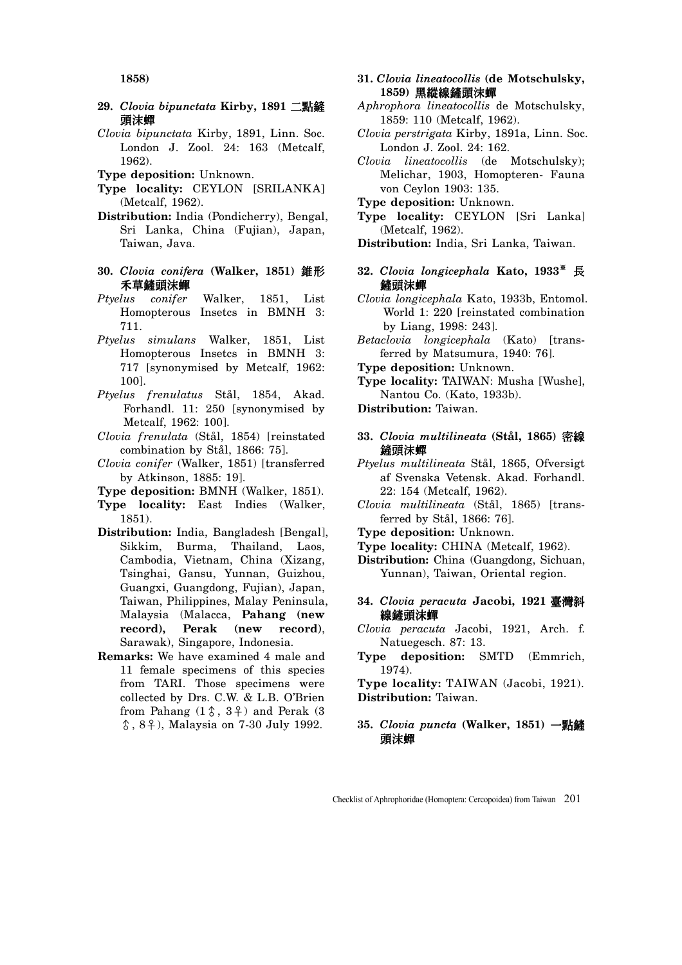**1858)** 

- 29. Clovia bipunctata Kirby, 1891 二點鏟 頭沫蟬
- *Clovia bipunctata* Kirby, 1891, Linn. Soc. London J. Zool. 24: 163 (Metcalf, 1962).
- **Type deposition:** Unknown.
- **Type locality:** CEYLON [SRILANKA] (Metcalf, 1962).
- **Distribution:** India (Pondicherry), Bengal, Sri Lanka, China (Fujian), Japan, Taiwan, Java.
- **30. Clovia conifera (Walker, 1851) 錐形** 禾草鏟頭沫蟬
- *Ptyelus conifer* Walker, 1851, List Homopterous Insetcs in BMNH 3: 711.
- *Ptyelus simulans* Walker, 1851, List Homopterous Insetcs in BMNH 3: 717 [synonymised by Metcalf, 1962: 100].
- *Ptyelus frenulatus* Stål, 1854, Akad. Forhandl. 11: 250 [synonymised by Metcalf, 1962: 100].
- *Clovia frenulata* (Stål, 1854) [reinstated combination by Stål, 1866: 75].
- *Clovia conifer* (Walker, 1851) [transferred by Atkinson, 1885: 19].
- **Type deposition:** BMNH (Walker, 1851).
- **Type locality:** East Indies (Walker, 1851).
- **Distribution:** India, Bangladesh [Bengal], Sikkim, Burma, Thailand, Laos, Cambodia, Vietnam, China (Xizang, Tsinghai, Gansu, Yunnan, Guizhou, Guangxi, Guangdong, Fujian), Japan, Taiwan, Philippines, Malay Peninsula, Malaysia (Malacca, **Pahang (new record), Perak (new record)**, Sarawak), Singapore, Indonesia.
- **Remarks:** We have examined 4 male and 11 female specimens of this species from TARI. Those specimens were collected by Drs. C.W. & L.B. O'Brien from Pahang  $(1\uparrow, 3\uparrow)$  and Perak  $(3)$ Ɛ, 8Ə), Malaysia on 7-30 July 1992.
- **31.** *Clovia lineatocollis* **(de Motschulsky,**  1859) 黑縱線鏟頭沫蟬
- *Aphrophora lineatocollis* de Motschulsky, 1859: 110 (Metcalf, 1962).
- *Clovia perstrigata* Kirby, 1891a, Linn. Soc. London J. Zool. 24: 162.
- *Clovia lineatocollis* (de Motschulsky); Melichar, 1903, Homopteren- Fauna von Ceylon 1903: 135.
- **Type deposition:** Unknown.
- **Type locality:** CEYLON [Sri Lanka] (Metcalf, 1962).
- **Distribution:** India, Sri Lanka, Taiwan.
- **32.** *Clovia longicephala* **Kato**, 1933<sup>\*</sup> 長 鏟頭沫蟬
- *Clovia longicephala* Kato, 1933b, Entomol. World 1: 220 [reinstated combination by Liang, 1998: 243].
- *Betaclovia longicephala* (Kato) [transferred by Matsumura, 1940: 76].
- **Type deposition:** Unknown.
- **Type locality:** TAIWAN: Musha [Wushe], Nantou Co. (Kato, 1933b).
- **Distribution:** Taiwan.
- **33.** *Clovia multilineata* **(Stål, 1865)** ቢ 鏟頭沫蟬
- *Ptyelus multilineata* Stål, 1865, Ofversigt af Svenska Vetensk. Akad. Forhandl. 22: 154 (Metcalf, 1962).
- *Clovia multilineata* (Stål, 1865) [transferred by Stål, 1866: 76].
- **Type deposition:** Unknown.
- **Type locality:** CHINA (Metcalf, 1962).
- **Distribution:** China (Guangdong, Sichuan, Yunnan), Taiwan, Oriental region.
- **34.** *Clovia peracuta* **Jacobi, 1921** ᄂ៉ 線鏟頭沫蟬
- *Clovia peracuta* Jacobi, 1921, Arch. f. Natuegesch. 87: 13.
- **Type deposition:** SMTD (Emmrich, 1974).

**Type locality:** TAIWAN (Jacobi, 1921). **Distribution:** Taiwan.

35. Clovia puncta (Walker, 1851) 一點鏟 頭沫蟬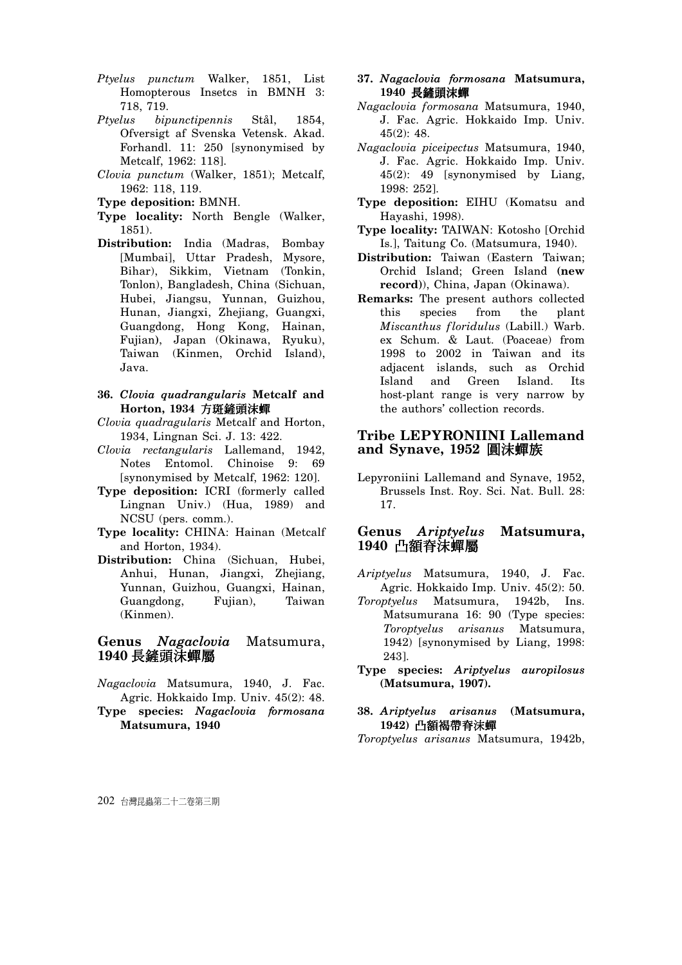- *Ptyelus punctum* Walker, 1851, List Homopterous Insetcs in BMNH 3: 718, 719.
- *Ptyelus bipunctipennis* Stål, 1854, Ofversigt af Svenska Vetensk. Akad. Forhandl. 11: 250 [synonymised by Metcalf, 1962: 118].
- *Clovia punctum* (Walker, 1851); Metcalf, 1962: 118, 119.
- **Type deposition:** BMNH.
- **Type locality:** North Bengle (Walker, 1851).
- **Distribution:** India (Madras, Bombay [Mumbai], Uttar Pradesh, Mysore, Bihar), Sikkim, Vietnam (Tonkin, Tonlon), Bangladesh, China (Sichuan, Hubei, Jiangsu, Yunnan, Guizhou, Hunan, Jiangxi, Zhejiang, Guangxi, Guangdong, Hong Kong, Hainan, Fujian**)**, Japan (Okinawa, Ryuku), Taiwan (Kinmen, Orchid Island), Java.
- **36.** *Clovia quadrangularis* **Metcalf and Horton, 1934 方斑鏟頭沫蟬**
- *Clovia quadragularis* Metcalf and Horton, 1934, Lingnan Sci. J. 13: 422.
- *Clovia rectangularis* Lallemand, 1942, Notes Entomol. Chinoise 9: 69 [synonymised by Metcalf, 1962: 120].
- **Type deposition:** ICRI (formerly called Lingnan Univ.) (Hua, 1989) and NCSU (pers. comm.).
- **Type locality:** CHINA: Hainan (Metcalf and Horton, 1934).
- **Distribution:** China (Sichuan, Hubei, Anhui, Hunan, Jiangxi, Zhejiang, Yunnan, Guizhou, Guangxi, Hainan, Guangdong, Fujian), Taiwan (Kinmen).

# **Genus** *Nagaclovia* Matsumura, 1940 長鏟頭沫蟬屬

- *Nagaclovia* Matsumura, 1940, J. Fac. Agric. Hokkaido Imp. Univ. 45(2): 48.
- **Type species:** *Nagaclovia formosana*  **Matsumura, 1940**
- **37.** *Nagaclovia formosana* **Matsumura,**  1940 長鏟頭沫蟬
- *Nagaclovia formosana* Matsumura, 1940, J. Fac. Agric. Hokkaido Imp. Univ. 45(2): 48.
- *Nagaclovia piceipectus* Matsumura, 1940, J. Fac. Agric. Hokkaido Imp. Univ. 45(2): 49 [synonymised by Liang, 1998: 252].
- **Type deposition:** EIHU (Komatsu and Hayashi, 1998).
- **Type locality:** TAIWAN: Kotosho [Orchid Is.], Taitung Co. (Matsumura, 1940).
- **Distribution:** Taiwan (Eastern Taiwan; Orchid Island; Green Island **(new record)**), China, Japan (Okinawa).
- **Remarks:** The present authors collected this species from the plant *Miscanthus floridulus* (Labill.) Warb. ex Schum. & Laut. (Poaceae) from 1998 to 2002 in Taiwan and its adjacent islands, such as Orchid Island and Green Island. Its host-plant range is very narrow by the authors' collection records.

# **Tribe LEPYRONIINI Lallemand**  and Synave, 1952 圓沫蟬族

Lepyroniini Lallemand and Synave, 1952, Brussels Inst. Roy. Sci. Nat. Bull. 28: 17.

# **Genus** *Ariptyelus* **Matsumura,**  1940 凸額脊沫蟬屬

- *Ariptyelus* Matsumura, 1940, J. Fac. Agric. Hokkaido Imp. Univ. 45(2): 50.
- *Toroptyelus* Matsumura, 1942b, Ins. Matsumurana 16: 90 (Type species: *Toroptyelus arisanus* Matsumura, 1942) [synonymised by Liang, 1998: 243].
- **Type species:** *Ariptyelus auropilosus* **(Matsumura, 1907).**

#### **38.** *Ariptyelus arisanus* **(Matsumura,**  1942) 凸額褐帶脊沫蟬

*Toroptyelus arisanus* Matsumura, 1942b,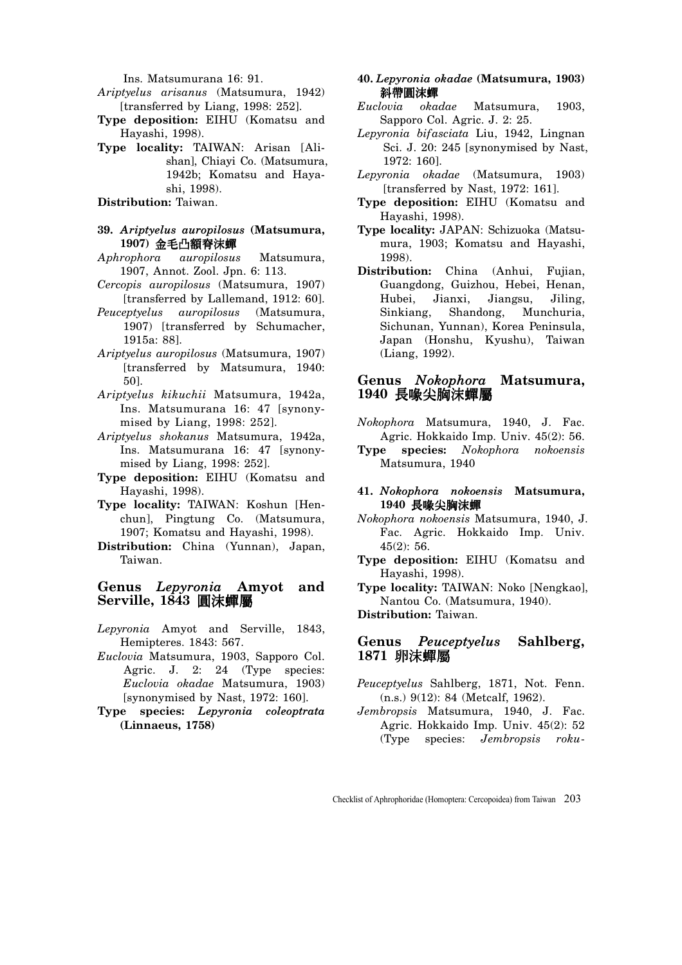Ins. Matsumurana 16: 91.

- *Ariptyelus arisanus* (Matsumura, 1942) [transferred by Liang, 1998: 252].
- **Type deposition:** EIHU (Komatsu and Hayashi, 1998).
- **Type locality:** TAIWAN: Arisan [Alishan], Chiayi Co. (Matsumura, 1942b; Komatsu and Hayashi, 1998).

**Distribution:** Taiwan.

#### **39.** *Ariptyelus auropilosus* **(Matsumura,**  1907) 金毛凸額脊沫蟬

- *Aphrophora auropilosus* Matsumura, 1907, Annot. Zool. Jpn. 6: 113.
- *Cercopis auropilosus* (Matsumura, 1907) [transferred by Lallemand, 1912: 60].
- *Peuceptyelus auropilosus* (Matsumura, 1907) [transferred by Schumacher, 1915a: 88].
- *Ariptyelus auropilosus* (Matsumura, 1907) [transferred by Matsumura, 1940: 50].
- *Ariptyelus kikuchii* Matsumura, 1942a, Ins. Matsumurana 16: 47 [synonymised by Liang, 1998: 252].
- *Ariptyelus shokanus* Matsumura, 1942a, Ins. Matsumurana 16: 47 [synonymised by Liang, 1998: 252].
- **Type deposition:** EIHU (Komatsu and Hayashi, 1998).
- **Type locality:** TAIWAN: Koshun [Henchun], Pingtung Co. (Matsumura, 1907; Komatsu and Hayashi, 1998).
- **Distribution:** China (Yunnan), Japan, Taiwan.

# **Genus** *Lepyronia* **Amyot and Serville, 1843 圓沫蟬屬**

- *Lepyronia* Amyot and Serville, 1843, Hemipteres. 1843: 567.
- *Euclovia* Matsumura, 1903, Sapporo Col. Agric. J. 2: 24 (Type species: *Euclovia okadae* Matsumura, 1903) [synonymised by Nast, 1972: 160].
- **Type species:** *Lepyronia coleoptrata* **(Linnaeus, 1758)**
- **40.** *Lepyronia okadae* **(Matsumura, 1903)**  斜帶圓沫蟬
- *Euclovia okadae* Matsumura, 1903, Sapporo Col. Agric. J. 2: 25.
- *Lepyronia bifasciata* Liu, 1942, Lingnan Sci. J. 20: 245 [synonymised by Nast, 1972: 160].
- *Lepyronia okadae* (Matsumura, 1903) [transferred by Nast, 1972: 161].
- **Type deposition:** EIHU (Komatsu and Hayashi, 1998).
- **Type locality:** JAPAN: Schizuoka (Matsumura, 1903; Komatsu and Hayashi, 1998).
- **Distribution:** China (Anhui, Fujian, Guangdong, Guizhou, Hebei, Henan, Hubei, Jianxi, Jiangsu, Jiling, Sinkiang, Shandong, Munchuria, Sichunan, Yunnan), Korea Peninsula, Japan (Honshu, Kyushu), Taiwan (Liang, 1992).

## **Genus** *Nokophora* **Matsumura,**  1940 長喙尖胸沫蟬屬

- *Nokophora* Matsumura, 1940, J. Fac. Agric. Hokkaido Imp. Univ. 45(2): 56.
- **Type species:** *Nokophora nokoensis*  Matsumura, 1940
- **41.** *Nokophora nokoensis* **Matsumura,**  1940 長喙尖胸沫蟬
- *Nokophora nokoensis* Matsumura, 1940, J. Fac. Agric. Hokkaido Imp. Univ. 45(2): 56.
- **Type deposition:** EIHU (Komatsu and Hayashi, 1998).
- **Type locality:** TAIWAN: Noko [Nengkao], Nantou Co. (Matsumura, 1940).

**Distribution:** Taiwan.

## **Genus** *Peuceptyelus* **Sahlberg,**  1871 卵沫蟬屬

- *Peuceptyelus* Sahlberg, 1871, Not. Fenn. (n.s.) 9(12): 84 (Metcalf, 1962).
- *Jembropsis* Matsumura, 1940, J. Fac. Agric. Hokkaido Imp. Univ. 45(2): 52 (Type species: *Jembropsis roku-*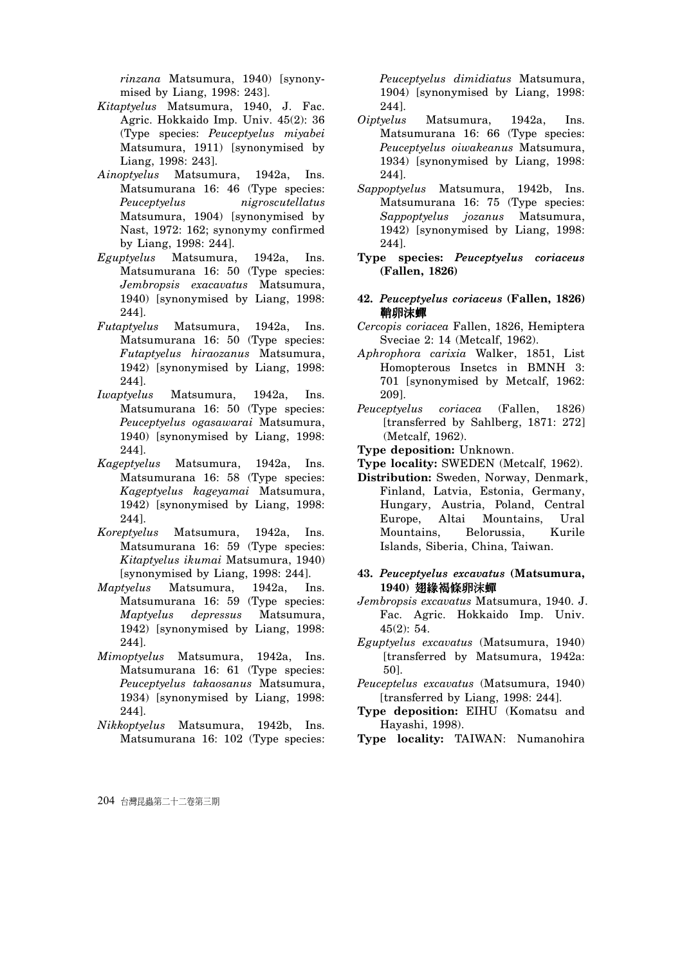*rinzana* Matsumura, 1940) [synonymised by Liang, 1998: 243].

- *Kitaptyelus* Matsumura, 1940, J. Fac. Agric. Hokkaido Imp. Univ. 45(2): 36 (Type species: *Peuceptyelus miyabei*  Matsumura, 1911) [synonymised by Liang, 1998: 243].
- *Ainoptyelus* Matsumura, 1942a, Ins. Matsumurana 16: 46 (Type species: *Peuceptyelus nigroscutellatus*  Matsumura, 1904) [synonymised by Nast, 1972: 162; synonymy confirmed by Liang, 1998: 244].
- *Eguptyelus* Matsumura, 1942a, Ins. Matsumurana 16: 50 (Type species: *Jembropsis exacavatus* Matsumura, 1940) [synonymised by Liang, 1998: 244].
- *Futaptyelus* Matsumura, 1942a, Ins. Matsumurana 16: 50 (Type species: *Futaptyelus hiraozanus* Matsumura, 1942) [synonymised by Liang, 1998: 244].
- *Iwaptyelus* Matsumura, 1942a, Ins. Matsumurana 16: 50 (Type species: *Peuceptyelus ogasawarai* Matsumura, 1940) [synonymised by Liang, 1998: 244].
- *Kageptyelus* Matsumura, 1942a, Ins. Matsumurana 16: 58 (Type species: *Kageptyelus kageyamai* Matsumura, 1942) [synonymised by Liang, 1998: 244].
- *Koreptyelus* Matsumura, 1942a, Ins. Matsumurana 16: 59 (Type species: *Kitaptyelus ikumai* Matsumura, 1940) [synonymised by Liang, 1998: 244].
- *Maptyelus* Matsumura, 1942a, Ins. Matsumurana 16: 59 (Type species: *Maptyelus depressus* Matsumura, 1942) [synonymised by Liang, 1998: 244].
- *Mimoptyelus* Matsumura, 1942a, Ins. Matsumurana 16: 61 (Type species: *Peuceptyelus takaosanus* Matsumura, 1934) [synonymised by Liang, 1998: 244].
- *Nikkoptyelus* Matsumura, 1942b, Ins. Matsumurana 16: 102 (Type species:

*Peuceptyelus dimidiatus* Matsumura, 1904) [synonymised by Liang, 1998: 244].

- *Oiptyelus* Matsumura, 1942a, Ins. Matsumurana 16: 66 (Type species: *Peuceptyelus oiwakeanus* Matsumura, 1934) [synonymised by Liang, 1998: 244].
- *Sappoptyelus* Matsumura, 1942b, Ins. Matsumurana 16: 75 (Type species: *Sappoptyelus jozanus* Matsumura, 1942) [synonymised by Liang, 1998: 244].
- **Type species:** *Peuceptyelus coriaceus* **(Fallen, 1826)**
- **42.** *Peuceptyelus coriaceus* **(Fallen, 1826)**  鞘卵沫蟬
- *Cercopis coriacea* Fallen, 1826, Hemiptera Sveciae 2: 14 (Metcalf, 1962).
- *Aphrophora carixia* Walker, 1851, List Homopterous Insetcs in BMNH 3: 701 [synonymised by Metcalf, 1962: 209].
- *Peuceptyelus coriacea* (Fallen, 1826) [transferred by Sahlberg, 1871: 272] (Metcalf, 1962).
- **Type deposition:** Unknown.
- **Type locality:** SWEDEN (Metcalf, 1962).
- **Distribution:** Sweden, Norway, Denmark, Finland, Latvia, Estonia, Germany, Hungary, Austria, Poland, Central Europe, Altai Mountains, Ural Mountains, Belorussia, Kurile Islands, Siberia, China, Taiwan.
- **43.** *Peuceptyelus excavatus* **(Matsumura,**  1940) 翅緣褐條卵沫蟬
- *Jembropsis excavatus* Matsumura, 1940. J. Fac. Agric. Hokkaido Imp. Univ. 45(2): 54.
- *Eguptyelus excavatus* (Matsumura, 1940) [transferred by Matsumura, 1942a: 50].
- *Peuceptelus excavatus* (Matsumura, 1940) [transferred by Liang, 1998: 244].
- **Type deposition:** EIHU (Komatsu and Hayashi, 1998).
- **Type locality:** TAIWAN: Numanohira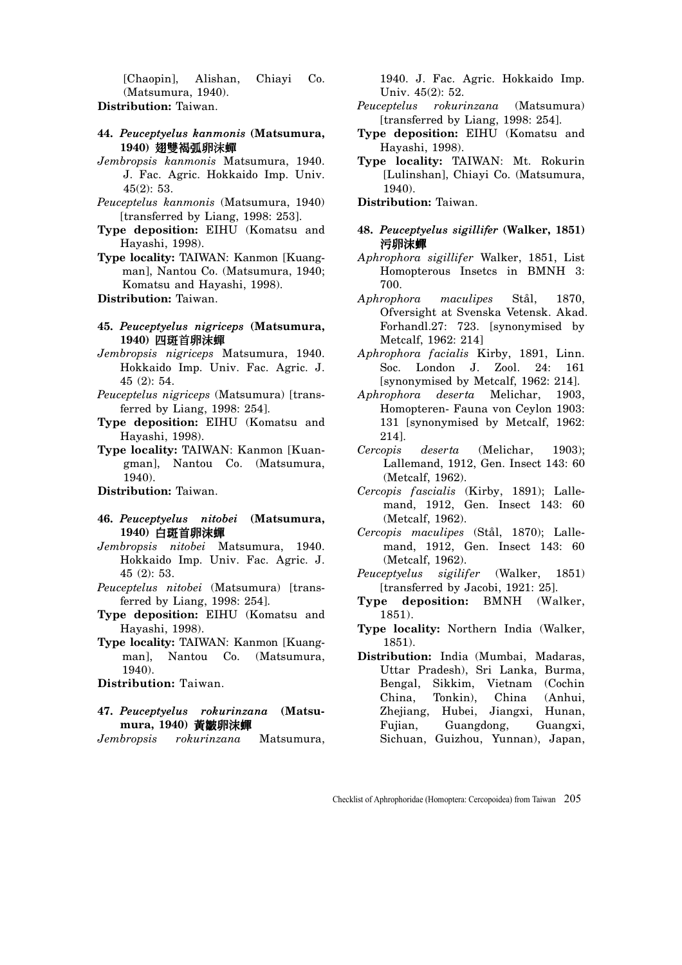[Chaopin], Alishan, Chiayi Co. (Matsumura, 1940).

- **Distribution:** Taiwan.
- **44.** *Peuceptyelus kanmonis* **(Matsumura,**  1940) **栩** 赞 褐 弧 卵 沫 蟬
- *Jembropsis kanmonis* Matsumura, 1940. J. Fac. Agric. Hokkaido Imp. Univ. 45(2): 53.
- *Peuceptelus kanmonis* (Matsumura, 1940) [transferred by Liang, 1998: 253].
- **Type deposition:** EIHU (Komatsu and Hayashi, 1998).
- **Type locality:** TAIWAN: Kanmon [Kuangman], Nantou Co. (Matsumura, 1940; Komatsu and Hayashi, 1998).
- **Distribution:** Taiwan.
- **45.** *Peuceptyelus nigriceps* **(Matsumura,**  1940) 四斑首卵沫蟬
- *Jembropsis nigriceps* Matsumura, 1940. Hokkaido Imp. Univ. Fac. Agric. J. 45 (2): 54.
- *Peuceptelus nigriceps* (Matsumura) [transferred by Liang, 1998: 254].
- **Type deposition:** EIHU (Komatsu and Hayashi, 1998).
- **Type locality:** TAIWAN: Kanmon [Kuangman], Nantou Co. (Matsumura, 1940).

#### **Distribution:** Taiwan.

- **46.** *Peuceptyelus nitobei* **(Matsumura,**  1940) 白斑首卵沫蟬
- *Jembropsis nitobei* Matsumura, 1940. Hokkaido Imp. Univ. Fac. Agric. J. 45 (2): 53.
- *Peuceptelus nitobei* (Matsumura) [transferred by Liang, 1998: 254].
- **Type deposition:** EIHU (Komatsu and Hayashi, 1998).
- **Type locality:** TAIWAN: Kanmon [Kuangman], Nantou Co. (Matsumura, 1940).
- **Distribution:** Taiwan.
- **47.** *Peuceptyelus rokurinzana* **(Matsu**mura, 1940) 黃皺卵沫蟬
- *Jembropsis rokurinzana* Matsumura,

1940. J. Fac. Agric. Hokkaido Imp. Univ. 45(2): 52.

- *Peuceptelus rokurinzana* (Matsumura) [transferred by Liang, 1998: 254].
- **Type deposition:** EIHU (Komatsu and Hayashi, 1998).
- **Type locality:** TAIWAN: Mt. Rokurin [Lulinshan], Chiayi Co. (Matsumura, 1940).
- **Distribution:** Taiwan.
- **48.** *Peuceptyelus sigillifer* **(Walker, 1851)**  污卵沫蟬
- *Aphrophora sigillifer* Walker, 1851, List Homopterous Insetcs in BMNH 3: 700.
- *Aphrophora maculipes* Stål, 1870, Ofversight at Svenska Vetensk. Akad. Forhandl.27: 723. [synonymised by Metcalf, 1962: 214]
- *Aphrophora facialis* Kirby, 1891, Linn. Soc. London J. Zool. 24: 161 [synonymised by Metcalf, 1962: 214].
- *Aphrophora deserta* Melichar, 1903, Homopteren- Fauna von Ceylon 1903: 131 [synonymised by Metcalf, 1962: 214].
- *Cercopis deserta* (Melichar, 1903); Lallemand, 1912, Gen. Insect 143: 60 (Metcalf, 1962).
- *Cercopis fascialis* (Kirby, 1891); Lallemand, 1912, Gen. Insect 143: 60 (Metcalf, 1962).
- *Cercopis maculipes* (Stål, 1870); Lallemand, 1912, Gen. Insect 143: 60 (Metcalf, 1962).
- *Peuceptyelus sigilifer* (Walker, 1851) [transferred by Jacobi, 1921: 25].
- **Type deposition:** BMNH (Walker, 1851).
- **Type locality:** Northern India (Walker, 1851).
- **Distribution:** India (Mumbai, Madaras, Uttar Pradesh), Sri Lanka, Burma, Bengal, Sikkim, Vietnam (Cochin China, Tonkin), China (Anhui, Zhejiang, Hubei, Jiangxi, Hunan, Fujian, Guangdong, Guangxi, Sichuan, Guizhou, Yunnan), Japan,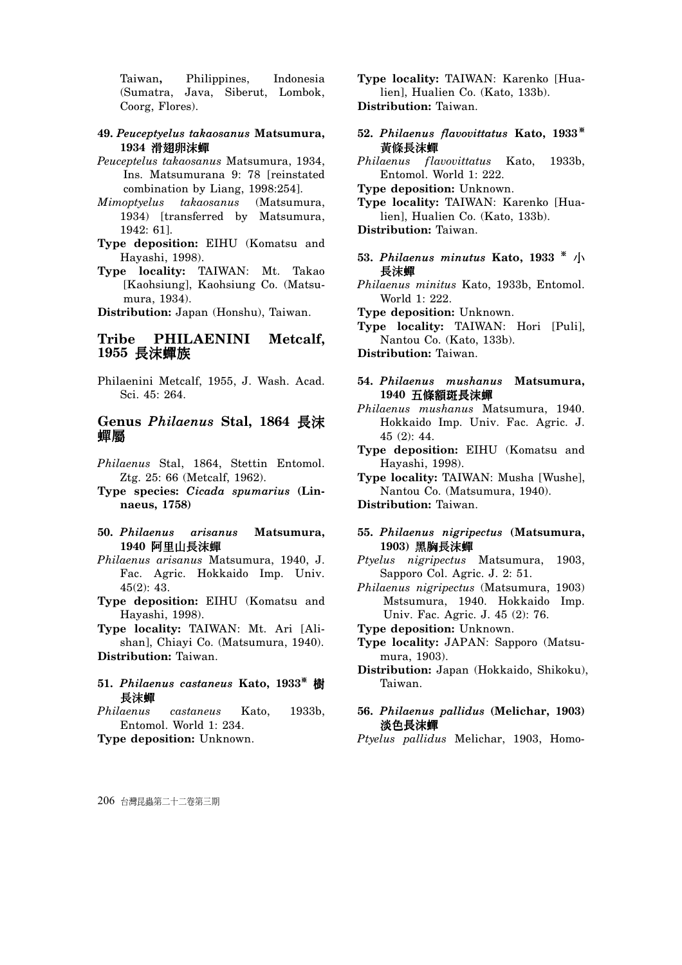Taiwan**,** Philippines, Indonesia (Sumatra, Java, Siberut, Lombok, Coorg, Flores).

#### **49.** *Peuceptyelus takaosanus* **Matsumura,**  1934 滑翅卵沫蟬

- *Peuceptelus takaosanus* Matsumura, 1934, Ins. Matsumurana 9: 78 [reinstated combination by Liang, 1998:254].
- *Mimoptyelus takaosanus* (Matsumura, 1934) [transferred by Matsumura, 1942: 61].
- **Type deposition:** EIHU (Komatsu and Hayashi, 1998).
- **Type locality:** TAIWAN: Mt. Takao [Kaohsiung], Kaohsiung Co. (Matsumura, 1934).

**Distribution:** Japan (Honshu), Taiwan.

## **Tribe PHILAENINI Metcalf,**  1955 長**沫蟬族**

Philaenini Metcalf, 1955, J. Wash. Acad. Sci. 45: 264.

# **Genus Philaenus Stal, 1864 長沫** ᖩᛳ

- *Philaenus* Stal, 1864, Stettin Entomol. Ztg. 25: 66 (Metcalf, 1962).
- **Type species:** *Cicada spumarius* **(Linnaeus, 1758)**
- **50.** *Philaenus arisanus* **Matsumura,**  1940 阿里山長沫蟬
- *Philaenus arisanus* Matsumura, 1940, J. Fac. Agric. Hokkaido Imp. Univ. 45(2): 43.
- **Type deposition:** EIHU (Komatsu and Hayashi, 1998).
- **Type locality:** TAIWAN: Mt. Ari [Alishan], Chiayi Co. (Matsumura, 1940).

**Distribution:** Taiwan.

- 51. Philaenus castaneus Kato, 1933<sup>\*</sup> 樹 長沫蟬
- *Philaenus castaneus* Kato, 1933b, Entomol. World 1: 234.

**Type deposition:** Unknown.

**Type locality:** TAIWAN: Karenko [Hualien], Hualien Co. (Kato, 133b). **Distribution:** Taiwan.

- **52.** *Philaenus flavovittatus* **Kato, 1933** <sup>ŏ</sup> 黃條長沫蟬
- *Philaenus flavovittatus* Kato, 1933b, Entomol. World 1: 222.
- **Type deposition:** Unknown.

**Type locality:** TAIWAN: Karenko [Hualien], Hualien Co. (Kato, 133b).

**Distribution:** Taiwan.

- 53. Philaenus minutus Kato, 1933  $*$  / 長沫蟬
- *Philaenus minitus* Kato, 1933b, Entomol. World 1: 222.

**Type deposition:** Unknown.

**Type locality:** TAIWAN: Hori [Puli], Nantou Co. (Kato, 133b).

**Distribution:** Taiwan.

**54.** *Philaenus mushanus* **Matsumura,**  1940 五條額斑長沫蟬

- *Philaenus mushanus* Matsumura, 1940. Hokkaido Imp. Univ. Fac. Agric. J. 45 (2): 44.
- **Type deposition:** EIHU (Komatsu and Hayashi, 1998).
- **Type locality:** TAIWAN: Musha [Wushe], Nantou Co. (Matsumura, 1940).

**Distribution:** Taiwan.

- **55.** *Philaenus nigripectus* **(Matsumura,**  1903) 黑胸長沫蟬
- *Ptyelus nigripectus* Matsumura, 1903, Sapporo Col. Agric. J. 2: 51.
- *Philaenus nigripectus* (Matsumura, 1903) Mstsumura, 1940. Hokkaido Imp. Univ. Fac. Agric. J. 45 (2): 76.

**Type deposition:** Unknown.

- **Type locality:** JAPAN: Sapporo (Matsumura, 1903).
- **Distribution:** Japan (Hokkaido, Shikoku), Taiwan.

## **56.** *Philaenus pallidus* **(Melichar, 1903)**  淡色長沫蟬

*Ptyelus pallidus* Melichar, 1903, Homo-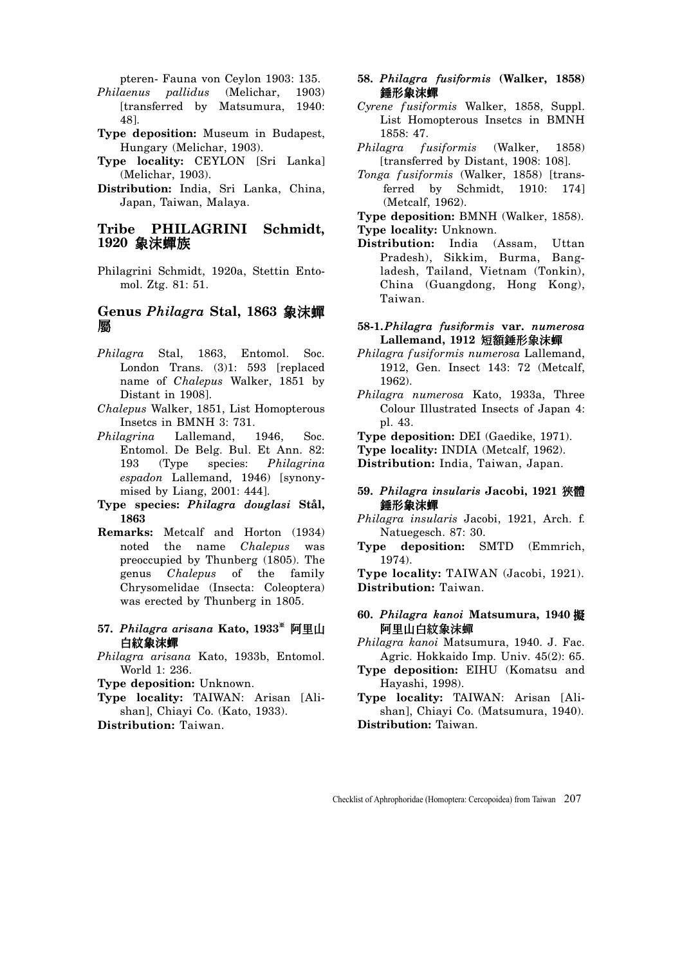pteren- Fauna von Ceylon 1903: 135.

- *Philaenus pallidus* (Melichar, 1903) [transferred by Matsumura, 1940: 48].
- **Type deposition:** Museum in Budapest, Hungary (Melichar, 1903).
- **Type locality:** CEYLON [Sri Lanka] (Melichar, 1903).
- **Distribution:** India, Sri Lanka, China, Japan, Taiwan, Malaya.

## **Tribe PHILAGRINI Schmidt,**  1920 象沫蟬族

Philagrini Schmidt, 1920a, Stettin Entomol. Ztg. 81: 51.

# **Genus Philagra Stal, 1863 象沫蟬** 屬

- *Philagra* Stal, 1863, Entomol. Soc. London Trans. (3)1: 593 [replaced name of *Chalepus* Walker, 1851 by Distant in 1908].
- *Chalepus* Walker, 1851, List Homopterous Insetcs in BMNH 3: 731.
- *Philagrina* Lallemand, 1946, Soc. Entomol. De Belg. Bul. Et Ann. 82: 193 (Type species: *Philagrina espadon* Lallemand, 1946) [synonymised by Liang, 2001: 444].
- **Type species:** *Philagra douglasi* **Stål, 1863**
- **Remarks:** Metcalf and Horton (1934) noted the name *Chalepus* was preoccupied by Thunberg (1805). The genus *Chalepus* of the family Chrysomelidae (Insecta: Coleoptera) was erected by Thunberg in 1805.
- 57. Philagra arisana Kato, 1933<sup>\*</sup> 阿里山 白紋象沫蟬
- *Philagra arisana* Kato, 1933b, Entomol. World 1: 236.
- **Type deposition:** Unknown.
- **Type locality:** TAIWAN: Arisan [Alishan], Chiayi Co. (Kato, 1933).
- **Distribution:** Taiwan.
- **58.** *Philagra fusiformis* **(Walker, 1858)**  錘形象沫蟬
- *Cyrene fusiformis* Walker, 1858, Suppl. List Homopterous Insetcs in BMNH 1858: 47.
- *Philagra fusiformis* (Walker, 1858) [transferred by Distant, 1908: 108].
- *Tonga fusiformis* (Walker, 1858) [transferred by Schmidt, 1910: 174] (Metcalf, 1962).

**Type deposition:** BMNH (Walker, 1858).

- **Type locality:** Unknown.
- **Distribution:** India (Assam, Uttan Pradesh), Sikkim, Burma, Bangladesh, Tailand, Vietnam (Tonkin), China (Guangdong, Hong Kong), Taiwan.

#### **58-1.** *Philagra fusiformis* **var.** *numerosa* Lallemand, 1912 短額錘形象沫蟬

- *Philagra fusiformis numerosa* Lallemand, 1912, Gen. Insect 143: 72 (Metcalf, 1962).
- *Philagra numerosa* Kato, 1933a, Three Colour Illustrated Insects of Japan 4: pl. 43.

**Type deposition:** DEI (Gaedike, 1971).

**Type locality:** INDIA (Metcalf, 1962).

**Distribution:** India, Taiwan, Japan.

#### **59.** *Philagra insularis* **Jacobi, 1921** বវ 錘形象沫蟬

*Philagra insularis* Jacobi, 1921, Arch. f. Natuegesch. 87: 30.

**Type deposition:** SMTD (Emmrich, 1974).

**Type locality:** TAIWAN (Jacobi, 1921). **Distribution:** Taiwan.

#### **60.** *Philagra kanoi* **Matsumura, 1940** ᑢ 阿里山白紋象沫蟬

*Philagra kanoi* Matsumura, 1940. J. Fac. Agric. Hokkaido Imp. Univ. 45(2): 65.

- **Type deposition:** EIHU (Komatsu and Hayashi, 1998).
- **Type locality:** TAIWAN: Arisan [Alishan], Chiayi Co. (Matsumura, 1940). **Distribution:** Taiwan.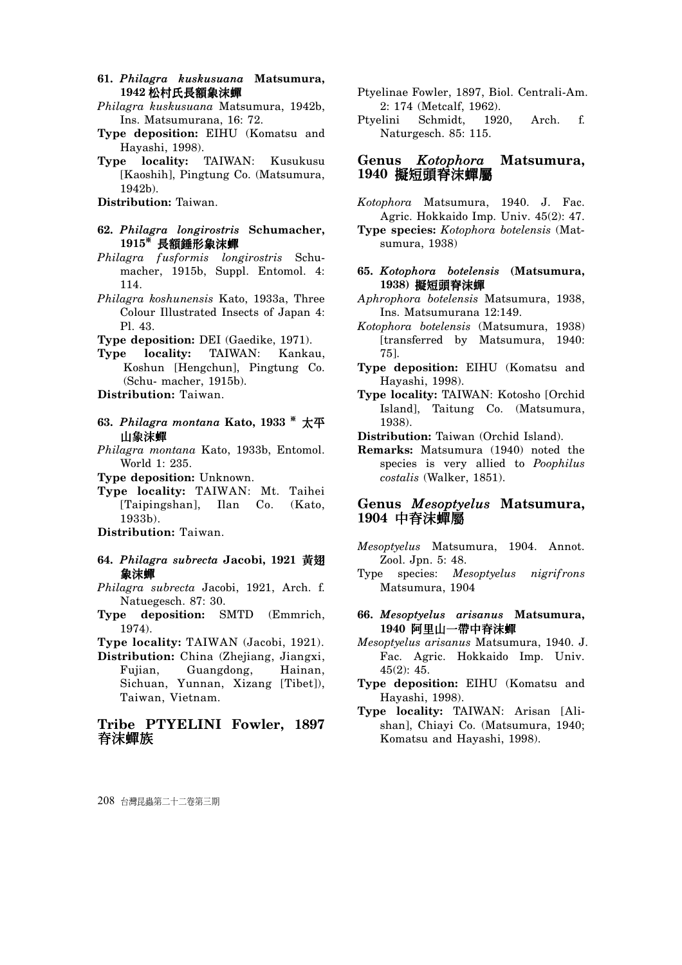- **61.** *Philagra kuskusuana* **Matsumura,**  1942 松村氏長額象沫蟬
- *Philagra kuskusuana* Matsumura, 1942b, Ins. Matsumurana, 16: 72.
- **Type deposition:** EIHU (Komatsu and Hayashi, 1998).
- **Type locality:** TAIWAN: Kusukusu [Kaoshih], Pingtung Co. (Matsumura, 1942b).

**Distribution:** Taiwan.

- **62.** *Philagra longirostris* **Schumacher,**  1915<sup>\*</sup> 長額錘形象沫蟬
- *Philagra fusformis longirostris* Schumacher, 1915b, Suppl. Entomol. 4: 114.
- *Philagra koshunensis* Kato, 1933a, Three Colour Illustrated Insects of Japan 4: Pl. 43.
- **Type deposition:** DEI (Gaedike, 1971).
- **Type locality:** TAIWAN: Kankau, Koshun [Hengchun], Pingtung Co. (Schu- macher, 1915b).

**Distribution:** Taiwan.

- **63. Philagra montana Kato, 1933** \* 太平 山象沫蟬
- *Philagra montana* Kato, 1933b, Entomol. World 1: 235.
- **Type deposition:** Unknown.
- **Type locality:** TAIWAN: Mt. Taihei [Taipingshan], Ilan Co. (Kato, 1933b).
- **Distribution:** Taiwan.
- **64.** *Philagra subrecta* **Jacobi, 1921** เਂ 象沫蟬
- *Philagra subrecta* Jacobi, 1921, Arch. f. Natuegesch. 87: 30.
- **Type deposition:** SMTD (Emmrich, 1974).
- **Type locality:** TAIWAN (Jacobi, 1921).
- **Distribution:** China (Zhejiang, Jiangxi, Fujian, Guangdong, Hainan, Sichuan, Yunnan, Xizang [Tibet]), Taiwan, Vietnam.

# **Tribe PTYELINI Fowler, 1897**  脊沫蟬族

- Ptyelinae Fowler, 1897, Biol. Centrali-Am. 2: 174 (Metcalf, 1962).
- Ptyelini Schmidt, 1920, Arch. f. Naturgesch. 85: 115.

#### **Genus** *Kotophora* **Matsumura,**  1940 擬短頭脊沫蟬屬

- *Kotophora* Matsumura, 1940. J. Fac. Agric. Hokkaido Imp. Univ. 45(2): 47.
- **Type species:** *Kotophora botelensis* (Matsumura, 1938)
- **65.** *Kotophora botelensis* **(Matsumura,**  1938) **擬**短頭脊沫蟬
- *Aphrophora botelensis* Matsumura, 1938, Ins. Matsumurana 12:149.
- *Kotophora botelensis* (Matsumura, 1938) [transferred by Matsumura, 1940: 75].
- **Type deposition:** EIHU (Komatsu and Hayashi, 1998).
- **Type locality:** TAIWAN: Kotosho [Orchid Island], Taitung Co. (Matsumura, 1938).
- **Distribution:** Taiwan (Orchid Island).
- **Remarks:** Matsumura (1940) noted the species is very allied to *Poophilus costalis* (Walker, 1851).

## **Genus** *Mesoptyelus* **Matsumura,**  1904 中脊沫蟬屬

- *Mesoptyelus* Matsumura, 1904. Annot. Zool. Jpn. 5: 48.
- Type species: *Mesoptyelus nigrifrons* Matsumura, 1904
- **66.** *Mesoptyelus arisanus* **Matsumura,**  1940 阿里山一帶中脊沫蟬
- *Mesoptyelus arisanus* Matsumura, 1940. J. Fac. Agric. Hokkaido Imp. Univ. 45(2): 45.
- **Type deposition:** EIHU (Komatsu and Hayashi, 1998).
- **Type locality:** TAIWAN: Arisan [Alishan], Chiayi Co. (Matsumura, 1940; Komatsu and Hayashi, 1998).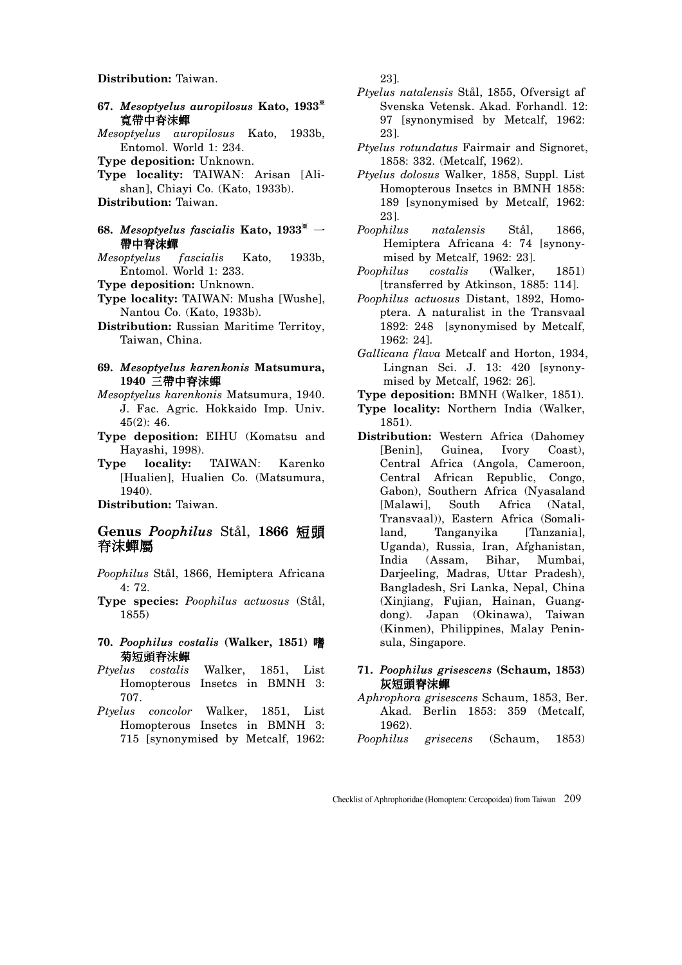#### **Distribution:** Taiwan.

- **67.** *Mesoptyelus auropilosus* **Kato, 1933**<sup>ŏ</sup> 寬帶中脊沫蟬
- *Mesoptyelus auropilosus* Kato, 1933b, Entomol. World 1: 234.
- **Type deposition:** Unknown.
- **Type locality:** TAIWAN: Arisan [Alishan], Chiayi Co. (Kato, 1933b). **Distribution:** Taiwan.
- 
- **68.** *Mesoptyelus fascialis* **Kato**,  $1933^*$   $-$ 帶中脊沫蟬
- *Mesoptyelus fascialis* Kato, 1933b, Entomol. World 1: 233.
- **Type deposition:** Unknown.
- **Type locality:** TAIWAN: Musha [Wushe], Nantou Co. (Kato, 1933b).
- **Distribution:** Russian Maritime Territoy, Taiwan, China.
- **69.** *Mesoptyelus karenkonis* **Matsumura,**  1940 三帶中脊沫蟬
- *Mesoptyelus karenkonis* Matsumura, 1940. J. Fac. Agric. Hokkaido Imp. Univ. 45(2): 46.
- **Type deposition:** EIHU (Komatsu and Hayashi, 1998).
- **Type locality:** TAIWAN: Karenko [Hualien], Hualien Co. (Matsumura, 1940).

**Distribution:** Taiwan.

# $Genus$  *Poophilus* Stål, 1866 短頭 脊沫蟬屬

- *Poophilus* Stål, 1866, Hemiptera Africana  $4.72$
- **Type species:** *Poophilus actuosus* (Stål, 1855)
- **70.** *Poophilus costalis* **(Walker, 1851)**  菊短頭脊沫蟬
- *Ptyelus costalis* Walker, 1851, List Homopterous Insetcs in BMNH 3: 707.
- *Ptyelus concolor* Walker, 1851, List Homopterous Insetcs in BMNH 3: 715 [synonymised by Metcalf, 1962:

23].

- *Ptyelus natalensis* Stål, 1855, Ofversigt af Svenska Vetensk. Akad. Forhandl. 12: 97 [synonymised by Metcalf, 1962: 23].
- *Ptyelus rotundatus* Fairmair and Signoret, 1858: 332. (Metcalf, 1962).
- *Ptyelus dolosus* Walker, 1858, Suppl. List Homopterous Insetcs in BMNH 1858: 189 [synonymised by Metcalf, 1962: 23].
- *Poophilus natalensis* Stål, 1866, Hemiptera Africana 4: 74 [synonymised by Metcalf, 1962: 23].
- *Poophilus costalis* (Walker, 1851) [transferred by Atkinson, 1885: 114].
- *Poophilus actuosus* Distant, 1892, Homoptera. A naturalist in the Transvaal 1892: 248 [synonymised by Metcalf, 1962: 24].
- *Gallicana flava* Metcalf and Horton, 1934, Lingnan Sci. J. 13: 420 [synonymised by Metcalf, 1962: 26].
- **Type deposition:** BMNH (Walker, 1851).
- **Type locality:** Northern India (Walker, 1851).
- **Distribution:** Western Africa (Dahomey [Benin], Guinea, Ivory Coast), Central Africa (Angola, Cameroon, Central African Republic, Congo, Gabon), Southern Africa (Nyasaland [Malawi], South Africa (Natal, Transvaal)), Eastern Africa (Somaliland, Tanganyika [Tanzania], Uganda), Russia, Iran, Afghanistan, India (Assam, Bihar, Mumbai, Darjeeling, Madras, Uttar Pradesh), Bangladesh, Sri Lanka, Nepal, China (Xinjiang, Fujian, Hainan, Guangdong). Japan (Okinawa), Taiwan (Kinmen**)**, Philippines, Malay Peninsula, Singapore.
- **71.** *Poophilus grisescens* **(Schaum, 1853)**  灰短頭脊沫蟬
- *Aphrophora grisescens* Schaum, 1853, Ber. Akad. Berlin 1853: 359 (Metcalf, 1962).
- *Poophilus grisecens* (Schaum, 1853)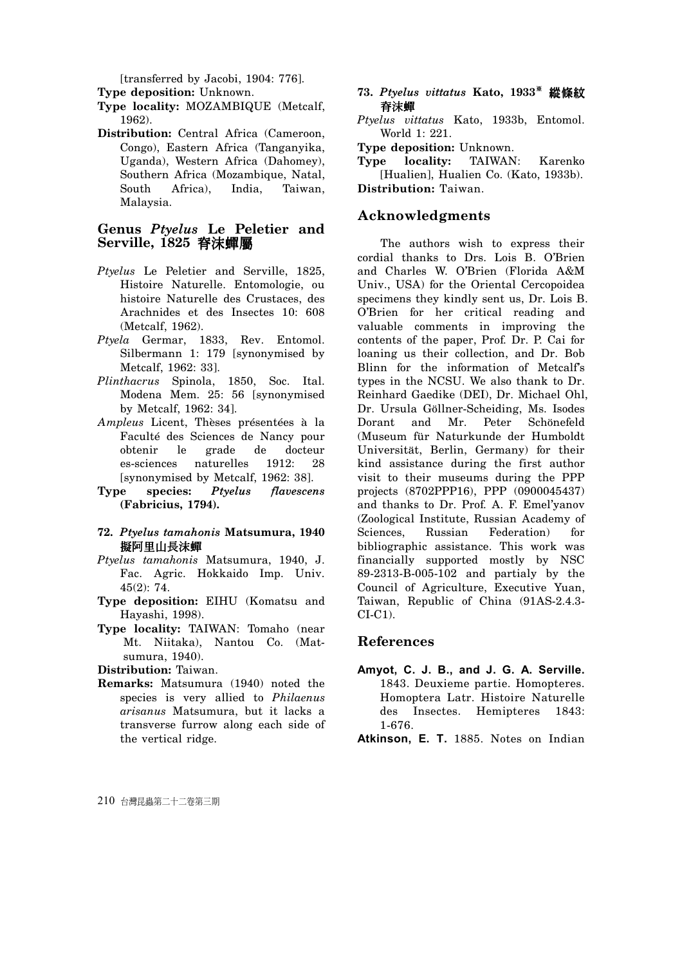[transferred by Jacobi, 1904: 776].

**Type deposition:** Unknown.

- **Type locality:** MOZAMBIQUE (Metcalf, 1962).
- **Distribution:** Central Africa (Cameroon, Congo), Eastern Africa (Tanganyika, Uganda), Western Africa (Dahomey), Southern Africa (Mozambique, Natal, South Africa), India, Taiwan, Malaysia.

# **Genus** *Ptyelus* **Le Peletier and Serville, 1825 脊沫蟬屬**

- *Ptyelus* Le Peletier and Serville, 1825, Histoire Naturelle. Entomologie, ou histoire Naturelle des Crustaces, des Arachnides et des Insectes 10: 608 (Metcalf, 1962).
- *Ptyela* Germar, 1833, Rev. Entomol. Silbermann 1: 179 [synonymised by Metcalf, 1962: 33].
- *Plinthacrus* Spinola, 1850, Soc. Ital. Modena Mem. 25: 56 [synonymised by Metcalf, 1962: 34].
- *Ampleus* Licent, Thèses présentées à la Faculté des Sciences de Nancy pour obtenir le grade de docteur es-sciences naturelles 1912: 28 [synonymised by Metcalf, 1962: 38].
- **Type species:** *Ptyelus flavescens*  **(Fabricius, 1794).**

#### **72.** *Ptyelus tamahonis* **Matsumura, 1940 擬阿里山長沫蟬**

- *Ptyelus tamahonis* Matsumura, 1940, J. Fac. Agric. Hokkaido Imp. Univ. 45(2): 74.
- **Type deposition:** EIHU (Komatsu and Hayashi, 1998).
- **Type locality:** TAIWAN: Tomaho (near Mt. Niitaka), Nantou Co. (Matsumura, 1940).

**Distribution:** Taiwan.

**Remarks:** Matsumura (1940) noted the species is very allied to *Philaenus arisanus* Matsumura, but it lacks a transverse furrow along each side of the vertical ridge.

## 73. Ptyelus vittatus Kato, 1933<sup>\*</sup> 縱條紋 脊沫蟬

- *Ptyelus vittatus* Kato, 1933b, Entomol. World 1: 221.
- **Type deposition:** Unknown.
- **Type locality:** TAIWAN: Karenko [Hualien], Hualien Co. (Kato, 1933b). **Distribution:** Taiwan.

# **Acknowledgments**

The authors wish to express their cordial thanks to Drs. Lois B. O'Brien and Charles W. O'Brien (Florida A&M Univ., USA) for the Oriental Cercopoidea specimens they kindly sent us, Dr. Lois B. O'Brien for her critical reading and valuable comments in improving the contents of the paper, Prof. Dr. P. Cai for loaning us their collection, and Dr. Bob Blinn for the information of Metcalf's types in the NCSU. We also thank to Dr. Reinhard Gaedike (DEI), Dr. Michael Ohl, Dr. Ursula Göllner-Scheiding, Ms. Isodes Dorant and Mr. Peter Schönefeld (Museum für Naturkunde der Humboldt Universität, Berlin, Germany) for their kind assistance during the first author visit to their museums during the PPP projects (8702PPP16), PPP (0900045437) and thanks to Dr. Prof. A. F. Emel'yanov (Zoological Institute, Russian Academy of Sciences, Russian Federation) for bibliographic assistance. This work was financially supported mostly by NSC 89-2313-B-005-102 and partialy by the Council of Agriculture, Executive Yuan, Taiwan, Republic of China (91AS-2.4.3- CI-C1).

# **References**

**Amyot, C. J. B., and J. G. A. Serville.** 1843. Deuxieme partie. Homopteres. Homoptera Latr. Histoire Naturelle des Insectes. Hemipteres 1843: 1-676.

**Atkinson, E. T.** 1885. Notes on Indian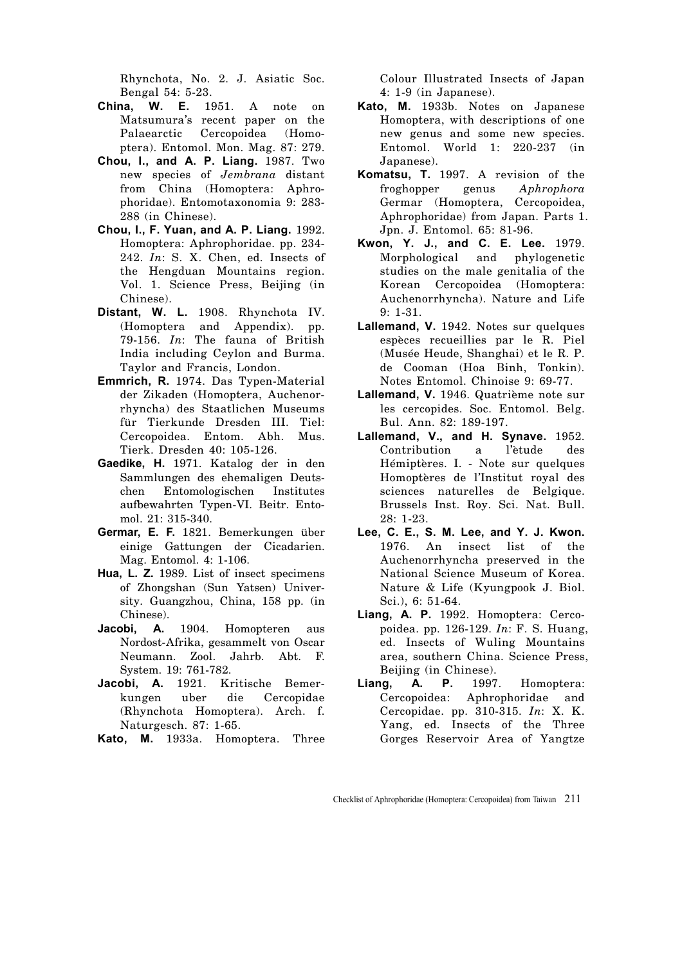Rhynchota, No. 2. J. Asiatic Soc. Bengal 54: 5-23.

- **China, W. E.** 1951. A note on Matsumura's recent paper on the Palaearctic Cercopoidea (Homoptera). Entomol. Mon. Mag. 87: 279.
- **Chou, I., and A. P. Liang.** 1987. Two new species of *Jembrana* distant from China (Homoptera: Aphrophoridae). Entomotaxonomia 9: 283- 288 (in Chinese).
- **Chou, I., F. Yuan, and A. P. Liang.** 1992. Homoptera: Aphrophoridae. pp. 234- 242. *In*: S. X. Chen, ed. Insects of the Hengduan Mountains region. Vol. 1. Science Press, Beijing (in Chinese).
- **Distant, W. L.** 1908. Rhynchota IV. (Homoptera and Appendix). pp. 79-156. *In*: The fauna of British India including Ceylon and Burma. Taylor and Francis, London.
- **Emmrich, R.** 1974. Das Typen-Material der Zikaden (Homoptera, Auchenorrhyncha) des Staatlichen Museums für Tierkunde Dresden III. Tiel: Cercopoidea. Entom. Abh. Mus. Tierk. Dresden 40: 105-126.
- **Gaedike, H.** 1971. Katalog der in den Sammlungen des ehemaligen Deutschen Entomologischen Institutes aufbewahrten Typen-VI. Beitr. Entomol. 21: 315-340.
- **Germar, E. F.** 1821. Bemerkungen über einige Gattungen der Cicadarien. Mag. Entomol. 4: 1-106.
- **Hua, L. Z.** 1989. List of insect specimens of Zhongshan (Sun Yatsen) University. Guangzhou, China, 158 pp. (in Chinese).
- Jacobi, A. 1904. Homopteren aus Nordost-Afrika, gesammelt von Oscar Neumann. Zool. Jahrb. Abt. F. System. 19: 761-782.
- **Jacobi, A.** 1921. Kritische Bemerkungen uber die Cercopidae (Rhynchota Homoptera). Arch. f. Naturgesch. 87: 1-65.
- **Kato, M.** 1933a. Homoptera. Three

Colour Illustrated Insects of Japan 4: 1-9 (in Japanese).

- **Kato, M.** 1933b. Notes on Japanese Homoptera, with descriptions of one new genus and some new species. Entomol. World 1: 220-237 (in Japanese).
- **Komatsu, T.** 1997. A revision of the froghopper genus *Aphrophora*  Germar (Homoptera, Cercopoidea, Aphrophoridae) from Japan. Parts 1. Jpn. J. Entomol. 65: 81-96.
- **Kwon, Y. J., and C. E. Lee.** 1979. Morphological and phylogenetic studies on the male genitalia of the Korean Cercopoidea (Homoptera: Auchenorrhyncha). Nature and Life 9: 1-31.
- **Lallemand, V.** 1942. Notes sur quelques espèces recueillies par le R. Piel (Musée Heude, Shanghai) et le R. P. de Cooman (Hoa Binh, Tonkin). Notes Entomol. Chinoise 9: 69-77.
- **Lallemand, V.** 1946. Quatrième note sur les cercopides. Soc. Entomol. Belg. Bul. Ann. 82: 189-197.
- **Lallemand, V., and H. Synave.** 1952. Contribution a l'ètude des Hémiptères. I. - Note sur quelques Homoptères de l'Institut royal des sciences naturelles de Belgique. Brussels Inst. Roy. Sci. Nat. Bull. 28: 1-23.
- **Lee, C. E., S. M. Lee, and Y. J. Kwon.** 1976. An insect list of the Auchenorrhyncha preserved in the National Science Museum of Korea. Nature & Life (Kyungpook J. Biol. Sci.), 6: 51-64.
- **Liang, A. P.** 1992. Homoptera: Cercopoidea. pp. 126-129. *In*: F. S. Huang, ed. Insects of Wuling Mountains area, southern China. Science Press, Beijing (in Chinese).
- **Liang, A. P.** 1997. Homoptera: Cercopoidea: Aphrophoridae and Cercopidae. pp. 310-315. *In*: X. K. Yang, ed. Insects of the Three Gorges Reservoir Area of Yangtze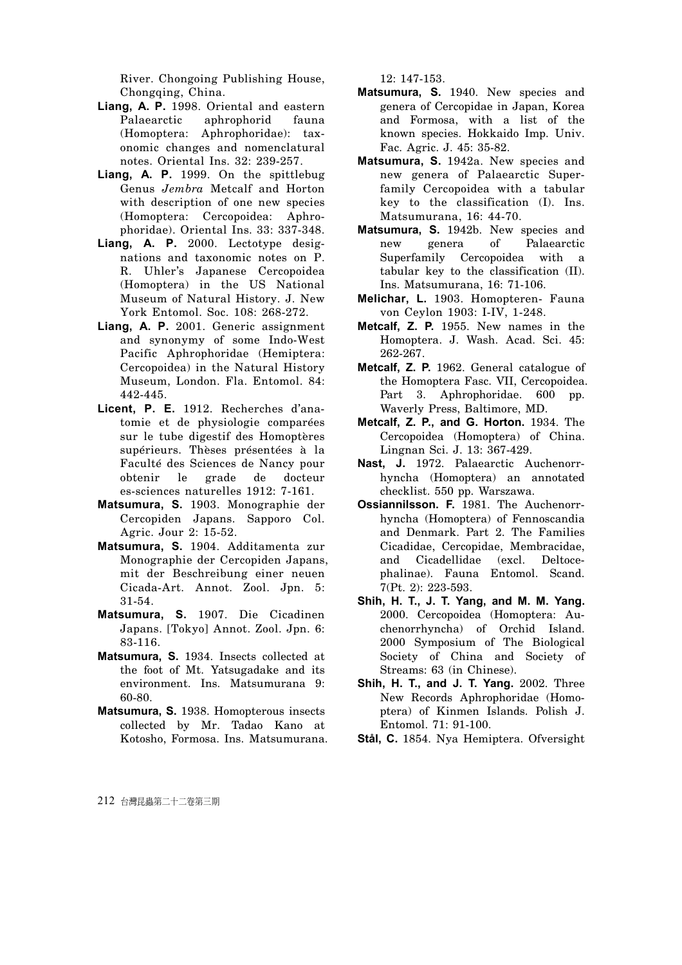River. Chongoing Publishing House, Chongqing, China.

- **Liang, A. P.** 1998. Oriental and eastern Palaearctic aphrophorid fauna (Homoptera: Aphrophoridae): taxonomic changes and nomenclatural notes. Oriental Ins. 32: 239-257.
- **Liang, A. P.** 1999. On the spittlebug Genus *Jembra* Metcalf and Horton with description of one new species (Homoptera: Cercopoidea: Aphrophoridae). Oriental Ins. 33: 337-348.
- **Liang, A. P.** 2000. Lectotype designations and taxonomic notes on P. R. Uhler's Japanese Cercopoidea (Homoptera) in the US National Museum of Natural History. J. New York Entomol. Soc. 108: 268-272.
- **Liang, A. P.** 2001. Generic assignment and synonymy of some Indo-West Pacific Aphrophoridae (Hemiptera: Cercopoidea) in the Natural History Museum, London. Fla. Entomol. 84: 442-445.
- **Licent, P. E.** 1912. Recherches d'anatomie et de physiologie comparées sur le tube digestif des Homoptères supérieurs. Thèses présentées à la Faculté des Sciences de Nancy pour obtenir le grade de docteur es-sciences naturelles 1912: 7-161.
- **Matsumura, S.** 1903. Monographie der Cercopiden Japans. Sapporo Col. Agric. Jour 2: 15-52.
- **Matsumura, S.** 1904. Additamenta zur Monographie der Cercopiden Japans, mit der Beschreibung einer neuen Cicada-Art. Annot. Zool. Jpn. 5: 31-54.
- **Matsumura, S.** 1907. Die Cicadinen Japans. [Tokyo] Annot. Zool. Jpn. 6: 83-116.
- **Matsumura, S.** 1934. Insects collected at the foot of Mt. Yatsugadake and its environment. Ins. Matsumurana 9: 60-80.
- **Matsumura, S.** 1938. Homopterous insects collected by Mr. Tadao Kano at Kotosho, Formosa. Ins. Matsumurana.

12: 147-153.

- **Matsumura, S.** 1940. New species and genera of Cercopidae in Japan, Korea and Formosa, with a list of the known species. Hokkaido Imp. Univ. Fac. Agric. J. 45: 35-82.
- **Matsumura, S.** 1942a. New species and new genera of Palaearctic Superfamily Cercopoidea with a tabular key to the classification (I). Ins. Matsumurana, 16: 44-70.
- **Matsumura, S.** 1942b. New species and new genera of Palaearctic Superfamily Cercopoidea with a tabular key to the classification (II). Ins. Matsumurana, 16: 71-106.
- **Melichar, L.** 1903. Homopteren- Fauna von Ceylon 1903: I-IV, 1-248.
- **Metcalf, Z. P.** 1955. New names in the Homoptera. J. Wash. Acad. Sci. 45: 262-267.
- **Metcalf, Z. P.** 1962. General catalogue of the Homoptera Fasc. VII, Cercopoidea. Part 3. Aphrophoridae. 600 pp. Waverly Press, Baltimore, MD.
- **Metcalf, Z. P., and G. Horton.** 1934. The Cercopoidea (Homoptera) of China. Lingnan Sci. J. 13: 367-429.
- **Nast, J.** 1972. Palaearctic Auchenorrhyncha (Homoptera) an annotated checklist. 550 pp. Warszawa.
- **Ossiannilsson. F.** 1981. The Auchenorrhyncha (Homoptera) of Fennoscandia and Denmark. Part 2. The Families Cicadidae, Cercopidae, Membracidae, and Cicadellidae (excl. Deltocephalinae). Fauna Entomol. Scand. 7(Pt. 2): 223-593.
- **Shih, H. T., J. T. Yang, and M. M. Yang.** 2000. Cercopoidea (Homoptera: Auchenorrhyncha) of Orchid Island. 2000 Symposium of The Biological Society of China and Society of Streams: 63 (in Chinese).
- **Shih, H. T., and J. T. Yang.** 2002. Three New Records Aphrophoridae (Homoptera) of Kinmen Islands. Polish J. Entomol. 71: 91-100.
- **Stål, C.** 1854. Nya Hemiptera. Ofversight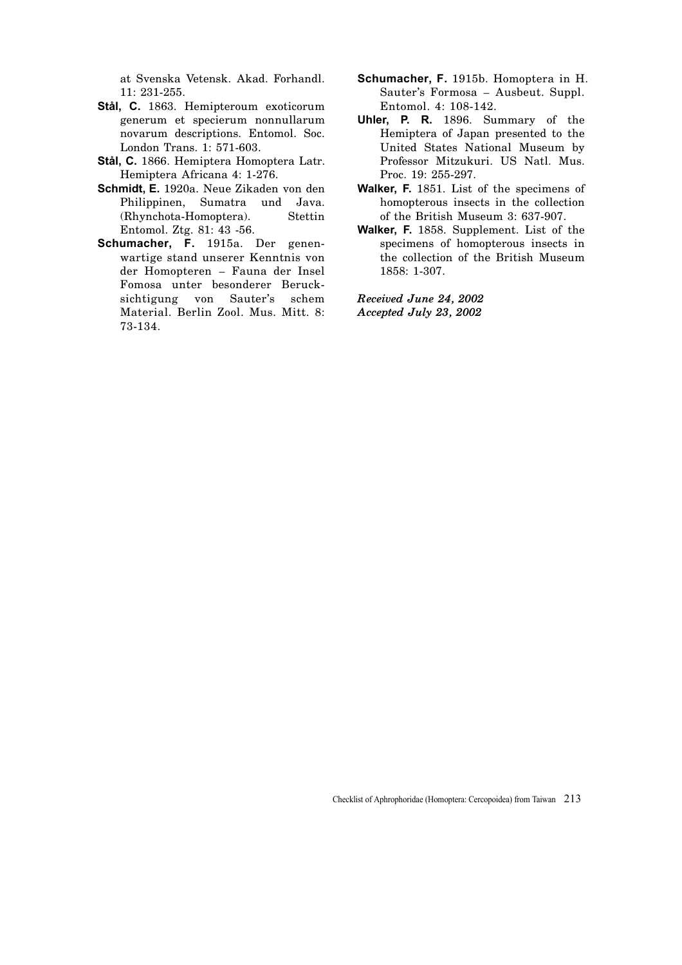at Svenska Vetensk. Akad. Forhandl. 11: 231-255.

- **Stål, C.** 1863. Hemipteroum exoticorum generum et specierum nonnullarum novarum descriptions. Entomol. Soc. London Trans. 1: 571-603.
- **Stål, C.** 1866. Hemiptera Homoptera Latr. Hemiptera Africana 4: 1-276.
- **Schmidt, E.** 1920a. Neue Zikaden von den Philippinen, Sumatra und Java. (Rhynchota-Homoptera). Stettin Entomol. Ztg. 81: 43 -56.
- **Schumacher, F.** 1915a. Der genenwartige stand unserer Kenntnis von der Homopteren – Fauna der Insel Fomosa unter besonderer Berucksichtigung von Sauter's schem Material. Berlin Zool. Mus. Mitt. 8: 73-134.
- **Schumacher, F.** 1915b. Homoptera in H. Sauter's Formosa – Ausbeut. Suppl. Entomol. 4: 108-142.
- **Uhler, P. R.** 1896. Summary of the Hemiptera of Japan presented to the United States National Museum by Professor Mitzukuri. US Natl. Mus. Proc. 19: 255-297.
- **Walker, F.** 1851. List of the specimens of homopterous insects in the collection of the British Museum 3: 637-907.
- **Walker, F.** 1858. Supplement. List of the specimens of homopterous insects in the collection of the British Museum 1858: 1-307.

*Received June 24, 2002 Accepted July 23, 2002* 

Checklist of Aphrophoridae (Homoptera: Cercopoidea) from Taiwan 213